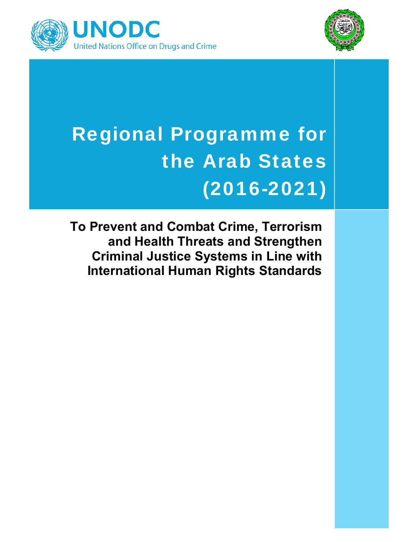



# Regional Programme for the Arab States (2016-2021)

**To Prevent and Combat Crime, Terrorism and Health Threats and Strengthen Criminal Justice Systems in Line with International Human Rights Standards**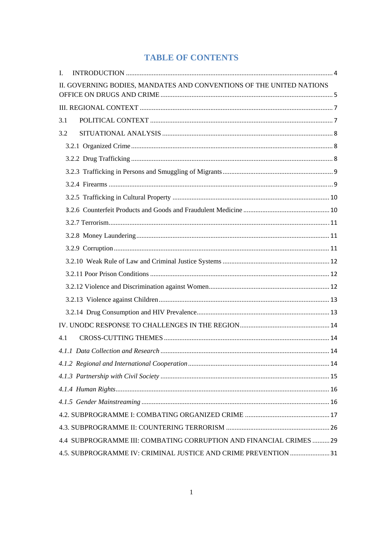# **TABLE OF CONTENTS**

| L   |                                                                      |  |
|-----|----------------------------------------------------------------------|--|
|     | II. GOVERNING BODIES, MANDATES AND CONVENTIONS OF THE UNITED NATIONS |  |
|     |                                                                      |  |
| 3.1 |                                                                      |  |
| 3.2 |                                                                      |  |
|     |                                                                      |  |
|     |                                                                      |  |
|     |                                                                      |  |
|     |                                                                      |  |
|     |                                                                      |  |
|     |                                                                      |  |
|     |                                                                      |  |
|     |                                                                      |  |
|     |                                                                      |  |
|     |                                                                      |  |
|     |                                                                      |  |
|     |                                                                      |  |
|     |                                                                      |  |
|     |                                                                      |  |
|     |                                                                      |  |
| 4.1 |                                                                      |  |
|     |                                                                      |  |
|     |                                                                      |  |
|     |                                                                      |  |
|     |                                                                      |  |
|     |                                                                      |  |
|     |                                                                      |  |
|     |                                                                      |  |
|     | 4.4 SUBPROGRAMME III: COMBATING CORRUPTION AND FINANCIAL CRIMES  29  |  |
|     | 4.5. SUBPROGRAMME IV: CRIMINAL JUSTICE AND CRIME PREVENTION  31      |  |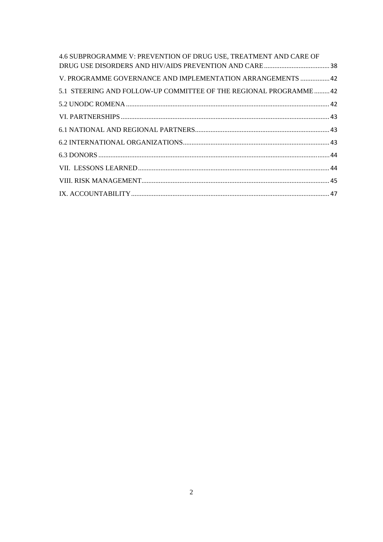| 4.6 SUBPROGRAMME V: PREVENTION OF DRUG USE, TREATMENT AND CARE OF |  |
|-------------------------------------------------------------------|--|
|                                                                   |  |
| V. PROGRAMME GOVERNANCE AND IMPLEMENTATION ARRANGEMENTS  42       |  |
| 5.1 STEERING AND FOLLOW-UP COMMITTEE OF THE REGIONAL PROGRAMME 42 |  |
|                                                                   |  |
|                                                                   |  |
|                                                                   |  |
|                                                                   |  |
|                                                                   |  |
|                                                                   |  |
|                                                                   |  |
|                                                                   |  |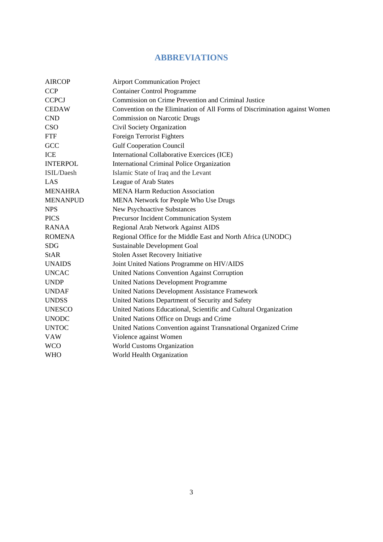# **ABBREVIATIONS**

| <b>AIRCOP</b>   | <b>Airport Communication Project</b>                                       |
|-----------------|----------------------------------------------------------------------------|
| <b>CCP</b>      | <b>Container Control Programme</b>                                         |
| <b>CCPCJ</b>    | Commission on Crime Prevention and Criminal Justice                        |
| <b>CEDAW</b>    | Convention on the Elimination of All Forms of Discrimination against Women |
| <b>CND</b>      | <b>Commission on Narcotic Drugs</b>                                        |
| CSO             | Civil Society Organization                                                 |
| <b>FTF</b>      | Foreign Terrorist Fighters                                                 |
| GCC             | <b>Gulf Cooperation Council</b>                                            |
| ICE             | International Collaborative Exercices (ICE)                                |
| <b>INTERPOL</b> | International Criminal Police Organization                                 |
| ISIL/Daesh      | Islamic State of Iraq and the Levant                                       |
| LAS             | League of Arab States                                                      |
| <b>MENAHRA</b>  | <b>MENA Harm Reduction Association</b>                                     |
| <b>MENANPUD</b> | MENA Network for People Who Use Drugs                                      |
| <b>NPS</b>      | New Psychoactive Substances                                                |
| <b>PICS</b>     | Precursor Incident Communication System                                    |
| <b>RANAA</b>    | Regional Arab Network Against AIDS                                         |
| <b>ROMENA</b>   | Regional Office for the Middle East and North Africa (UNODC)               |
| <b>SDG</b>      | Sustainable Development Goal                                               |
| <b>StAR</b>     | <b>Stolen Asset Recovery Initiative</b>                                    |
| <b>UNAIDS</b>   | Joint United Nations Programme on HIV/AIDS                                 |
| <b>UNCAC</b>    | <b>United Nations Convention Against Corruption</b>                        |
| <b>UNDP</b>     | <b>United Nations Development Programme</b>                                |
| <b>UNDAF</b>    | United Nations Development Assistance Framework                            |
| <b>UNDSS</b>    | United Nations Department of Security and Safety                           |
| <b>UNESCO</b>   | United Nations Educational, Scientific and Cultural Organization           |
| <b>UNODC</b>    | United Nations Office on Drugs and Crime                                   |
| <b>UNTOC</b>    | United Nations Convention against Transnational Organized Crime            |
| <b>VAW</b>      | Violence against Women                                                     |
| <b>WCO</b>      | World Customs Organization                                                 |
| <b>WHO</b>      | World Health Organization                                                  |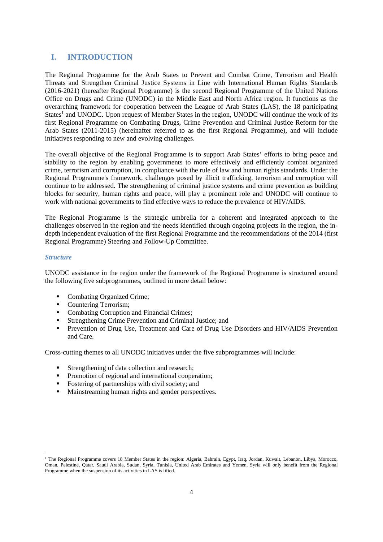# **I. INTRODUCTION**

The Regional Programme for the Arab States to Prevent and Combat Crime, Terrorism and Health Threats and Strengthen Criminal Justice Systems in Line with International Human Rights Standards (2016-2021) (hereafter Regional Programme) is the second Regional Programme of the United Nations Office on Drugs and Crime (UNODC) in the Middle East and North Africa region. It functions as the overarching framework for cooperation between the League of Arab States (LAS), the 18 participating States<sup>1</sup> and UNODC. Upon request of Member States in the region, UNODC will continue the work of its first Regional Programme on Combating Drugs, Crime Prevention and Criminal Justice Reform for the Arab States (2011-2015) (hereinafter referred to as the first Regional Programme), and will include initiatives responding to new and evolving challenges.

The overall objective of the Regional Programme is to support Arab States' efforts to bring peace and stability to the region by enabling governments to more effectively and efficiently combat organized crime, terrorism and corruption, in compliance with the rule of law and human rights standards. Under the Regional Programme's framework, challenges posed by illicit trafficking, terrorism and corruption will continue to be addressed. The strengthening of criminal justice systems and crime prevention as building blocks for security, human rights and peace, will play a prominent role and UNODC will continue to work with national governments to find effective ways to reduce the prevalence of HIV/AIDS.

The Regional Programme is the strategic umbrella for a coherent and integrated approach to the challenges observed in the region and the needs identified through ongoing projects in the region, the indepth independent evaluation of the first Regional Programme and the recommendations of the 2014 (first Regional Programme) Steering and Follow-Up Committee.

#### *Structure*

UNODC assistance in the region under the framework of the Regional Programme is structured around the following five subprogrammes, outlined in more detail below:

- Combating Organized Crime;
- Countering Terrorism;
- Combating Corruption and Financial Crimes:
- Strengthening Crime Prevention and Criminal Justice; and
- **Prevention of Drug Use, Treatment and Care of Drug Use Disorders and HIV/AIDS Prevention** and Care.

Cross-cutting themes to all UNODC initiatives under the five subprogrammes will include:

- **Strengthening of data collection and research;**
- Promotion of regional and international cooperation;
- Fostering of partnerships with civil society; and
- Mainstreaming human rights and gender perspectives.

 <sup>1</sup> The Regional Programme covers 18 Member States in the region: Algeria, Bahrain, Egypt, Iraq, Jordan, Kuwait, Lebanon, Libya, Morocco, Oman, Palestine, Qatar, Saudi Arabia, Sudan, Syria, Tunisia, United Arab Emirates and Yemen. Syria will only benefit from the Regional Programme when the suspension of its activities in LAS is lifted.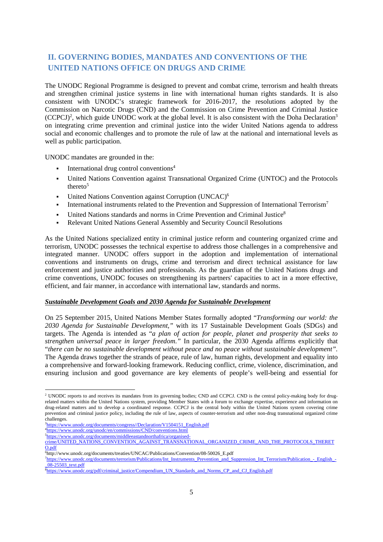# **II. GOVERNING BODIES, MANDATES AND CONVENTIONS OF THE UNITED NATIONS OFFICE ON DRUGS AND CRIME**

The UNODC Regional Programme is designed to prevent and combat crime, terrorism and health threats and strengthen criminal justice systems in line with international human rights standards. It is also consistent with UNODC's strategic framework for 2016-2017, the resolutions adopted by the Commission on Narcotic Drugs (CND) and the Commission on Crime Prevention and Criminal Justice (CCPCJ)<sup>2</sup>, which guide UNODC work at the global level. It is also consistent with the Doha Declaration<sup>3</sup> on integrating crime prevention and criminal justice into the wider United Nations agenda to address social and economic challenges and to promote the rule of law at the national and international levels as well as public participation.

UNODC mandates are grounded in the:

- International drug control conventions4
- United Nations Convention against Transnational Organized Crime (UNTOC) and the Protocols thereto<sup>5</sup>
- United Nations Convention against Corruption (UNCAC)6
- International instruments related to the Prevention and Suppression of International Terrorism7
- United Nations standards and norms in Crime Prevention and Criminal Justice<sup>8</sup>
- Relevant United Nations General Assembly and Security Council Resolutions

As the United Nations specialized entity in criminal justice reform and countering organized crime and terrorism, UNODC possesses the technical expertise to address those challenges in a comprehensive and integrated manner. UNODC offers support in the adoption and implementation of international conventions and instruments on drugs, crime and terrorism and direct technical assistance for law enforcement and justice authorities and professionals. As the guardian of the United Nations drugs and crime conventions, UNODC focuses on strengthening its partners' capacities to act in a more effective, efficient, and fair manner, in accordance with international law, standards and norms.

#### *Sustainable Development Goals and 2030 Agenda for Sustainable Development*

On 25 September 2015, United Nations Member States formally adopted "*Transforming our world: the 2030 Agenda for Sustainable Development,"* with its 17 Sustainable Development Goals (SDGs) and targets. The Agenda is intended as "*a plan of action for people, planet and prosperity that seeks to strengthen universal peace in larger freedom."* In particular, the 2030 Agenda affirms explicitly that "*there can be no sustainable development without peace and no peace without sustainable development".*  The Agenda draws together the strands of peace, rule of law, human rights, development and equality into a comprehensive and forward-looking framework. Reducing conflict, crime, violence, discrimination, and ensuring inclusion and good governance are key elements of people's well-being and essential for

<sup>&</sup>lt;sup>2</sup> UNODC reports to and receives its mandates from its governing bodies; CND and CCPCJ. CND is the central policy-making body for drugrelated matters within the United Nations system, providing Member States with a forum to exchange expertise, experience and information on drug-related matters and to develop a coordinated response. CCPCJ is the central body within the United Nations system covering crime prevention and criminal justice policy, including the rule of law, aspects of counter-terrorism and other non-drug transnational organized crime challenges.

<sup>&</sup>lt;sup>3</sup>https://www.unodc.org/documents/congress//Declaration/V1504151\_English.pdf

<sup>4</sup> https://www.unodc.org/unodc/en/commissions/CND/conventions.html <sup>5</sup>https://www.unodc.org/documents/middleeastandnorthafrica/organised-

crime/UNITED\_NATIONS\_CONVENTION\_AGAINST\_TRANSNATIONAL\_ORGANIZED\_CRIME\_AND\_THE\_PROTOCOLS\_THERET O.pdf

http://www.unodc.org/documents/treaties/UNCAC/Publications/Convention/08-50026\_E.pdf<br><sup>7</sup>https://www.unodc.org/documents/terrorism/Publications/Int. Instruments. Prevention, and St

<sup>&</sup>lt;sup>7</sup>https://www.unodc.org/documents/terrorism/Publications/Int\_Instruments\_Prevention\_and\_Suppression\_Int\_Terrorism/Publication\_-\_English\_-\_08-25503\_text.pdf

<sup>&</sup>lt;sup>8</sup>https://www.unodc.org/pdf/criminal\_justice/Compendium\_UN\_Standards\_and\_Norms\_CP\_and\_CJ\_English.pdf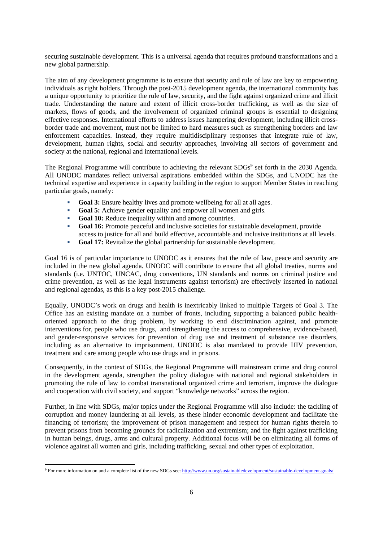securing sustainable development. This is a universal agenda that requires profound transformations and a new global partnership.

The aim of any development programme is to ensure that security and rule of law are key to empowering individuals as right holders. Through the post-2015 development agenda, the international community has a unique opportunity to prioritize the rule of law, security, and the fight against organized crime and illicit trade. Understanding the nature and extent of illicit cross-border trafficking, as well as the size of markets, flows of goods, and the involvement of organized criminal groups is essential to designing effective responses. International efforts to address issues hampering development, including illicit crossborder trade and movement, must not be limited to hard measures such as strengthening borders and law enforcement capacities. Instead, they require multidisciplinary responses that integrate rule of law, development, human rights, social and security approaches, involving all sectors of government and society at the national, regional and international levels.

The Regional Programme will contribute to achieving the relevant SDGs<sup>9</sup> set forth in the 2030 Agenda. All UNODC mandates reflect universal aspirations embedded within the SDGs, and UNODC has the technical expertise and experience in capacity building in the region to support Member States in reaching particular goals, namely:

- Goal 3: Ensure healthy lives and promote wellbeing for all at all ages.
- **Goal 5:** Achieve gender equality and empower all women and girls.
- **Goal 10:** Reduce inequality within and among countries.
- **Goal 16:** Promote peaceful and inclusive societies for sustainable development, provide access to justice for all and build effective, accountable and inclusive institutions at all levels.
- **Goal 17:** Revitalize the global partnership for sustainable development.

Goal 16 is of particular importance to UNODC as it ensures that the rule of law, peace and security are included in the new global agenda. UNODC will contribute to ensure that all global treaties, norms and standards (i.e. UNTOC, UNCAC, drug conventions, UN standards and norms on criminal justice and crime prevention, as well as the legal instruments against terrorism) are effectively inserted in national and regional agendas, as this is a key post-2015 challenge.

Equally, UNODC's work on drugs and health is inextricably linked to multiple Targets of Goal 3. The Office has an existing mandate on a number of fronts, including supporting a balanced public healthoriented approach to the drug problem, by working to end discrimination against, and promote interventions for, people who use drugs, and strengthening the access to comprehensive, evidence-based, and gender-responsive services for prevention of drug use and treatment of substance use disorders, including as an alternative to imprisonment. UNODC is also mandated to provide HIV prevention, treatment and care among people who use drugs and in prisons.

Consequently, in the context of SDGs, the Regional Programme will mainstream crime and drug control in the development agenda, strengthen the policy dialogue with national and regional stakeholders in promoting the rule of law to combat transnational organized crime and terrorism, improve the dialogue and cooperation with civil society, and support "knowledge networks" across the region.

Further, in line with SDGs, major topics under the Regional Programme will also include: the tackling of corruption and money laundering at all levels, as these hinder economic development and facilitate the financing of terrorism; the improvement of prison management and respect for human rights therein to prevent prisons from becoming grounds for radicalization and extremism; and the fight against trafficking in human beings, drugs, arms and cultural property. Additional focus will be on eliminating all forms of violence against all women and girls, including trafficking, sexual and other types of exploitation.

 <sup>9</sup> For more information on and a complete list of the new SDGs see: http://www.un.org/sustainabledevelopment/sustainable-development-goals/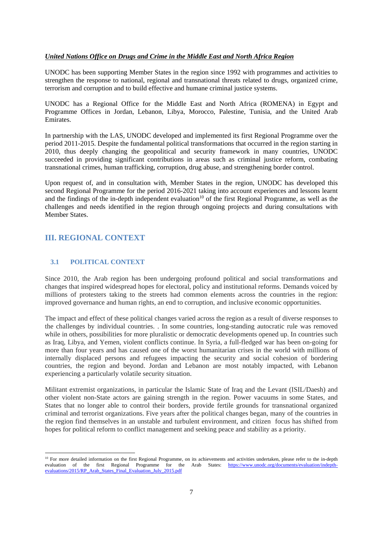#### *United Nations Office on Drugs and Crime in the Middle East and North Africa Region*

UNODC has been supporting Member States in the region since 1992 with programmes and activities to strengthen the response to national, regional and transnational threats related to drugs, organized crime, terrorism and corruption and to build effective and humane criminal justice systems.

UNODC has a Regional Office for the Middle East and North Africa (ROMENA) in Egypt and Programme Offices in Jordan, Lebanon, Libya, Morocco, Palestine, Tunisia, and the United Arab Emirates.

In partnership with the LAS, UNODC developed and implemented its first Regional Programme over the period 2011-2015. Despite the fundamental political transformations that occurred in the region starting in 2010, thus deeply changing the geopolitical and security framework in many countries, UNODC succeeded in providing significant contributions in areas such as criminal justice reform, combating transnational crimes, human trafficking, corruption, drug abuse, and strengthening border control.

Upon request of, and in consultation with, Member States in the region, UNODC has developed this second Regional Programme for the period 2016-2021 taking into account experiences and lessons learnt and the findings of the in-depth independent evaluation<sup>10</sup> of the first Regional Programme, as well as the challenges and needs identified in the region through ongoing projects and during consultations with Member States.

# **III. REGIONAL CONTEXT**

## **3.1 POLITICAL CONTEXT**

Since 2010, the Arab region has been undergoing profound political and social transformations and changes that inspired widespread hopes for electoral, policy and institutional reforms. Demands voiced by millions of protesters taking to the streets had common elements across the countries in the region: improved governance and human rights, an end to corruption, and inclusive economic opportunities.

The impact and effect of these political changes varied across the region as a result of diverse responses to the challenges by individual countries. . In some countries, long-standing autocratic rule was removed while in others, possibilities for more pluralistic or democratic developments opened up. In countries such as Iraq, Libya, and Yemen, violent conflicts continue. In Syria, a full-fledged war has been on-going for more than four years and has caused one of the worst humanitarian crises in the world with millions of internally displaced persons and refugees impacting the security and social cohesion of bordering countries, the region and beyond. Jordan and Lebanon are most notably impacted, with Lebanon experiencing a particularly volatile security situation.

Militant extremist organizations, in particular the Islamic State of Iraq and the Levant (ISIL/Daesh) and other violent non-State actors are gaining strength in the region. Power vacuums in some States, and States that no longer able to control their borders, provide fertile grounds for transnational organized criminal and terrorist organizations. Five years after the political changes began, many of the countries in the region find themselves in an unstable and turbulent environment, and citizen focus has shifted from hopes for political reform to conflict management and seeking peace and stability as a priority.

 <sup>10</sup> For more detailed information on the first Regional Programme, on its achievements and activities undertaken, please refer to the in-depth evaluation of the first Regional Programme for the Arab States: https://www.unodc.org/documents/evaluation/indepthevaluations/2015/RP\_Arab\_States\_Final\_Evaluation\_July\_2015.pdf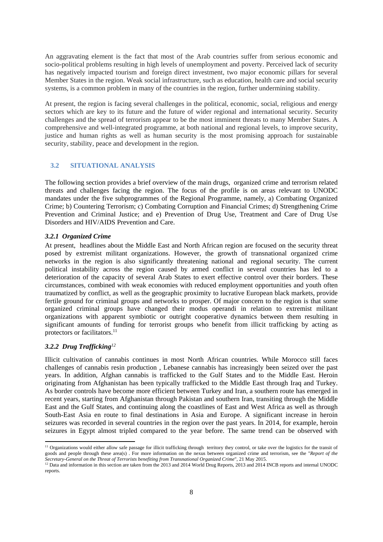An aggravating element is the fact that most of the Arab countries suffer from serious economic and socio-political problems resulting in high levels of unemployment and poverty. Perceived lack of security has negatively impacted tourism and foreign direct investment, two major economic pillars for several Member States in the region. Weak social infrastructure, such as education, health care and social security systems, is a common problem in many of the countries in the region, further undermining stability.

At present, the region is facing several challenges in the political, economic, social, religious and energy sectors which are key to its future and the future of wider regional and international security. Security challenges and the spread of terrorism appear to be the most imminent threats to many Member States. A comprehensive and well-integrated programme, at both national and regional levels, to improve security, justice and human rights as well as human security is the most promising approach for sustainable security, stability, peace and development in the region.

## **3.2 SITUATIONAL ANALYSIS**

The following section provides a brief overview of the main drugs, organized crime and terrorism related threats and challenges facing the region. The focus of the profile is on areas relevant to UNODC mandates under the five subprogrammes of the Regional Programme, namely, a) Combating Organized Crime; b) Countering Terrorism; c) Combating Corruption and Financial Crimes; d) Strengthening Crime Prevention and Criminal Justice; and e) Prevention of Drug Use, Treatment and Care of Drug Use Disorders and HIV/AIDS Prevention and Care.

#### *3.2.1 Organized Crime*

At present, headlines about the Middle East and North African region are focused on the security threat posed by extremist militant organizations. However, the growth of transnational organized crime networks in the region is also significantly threatening national and regional security. The current political instability across the region caused by armed conflict in several countries has led to a deterioration of the capacity of several Arab States to exert effective control over their borders. These circumstances, combined with weak economies with reduced employment opportunities and youth often traumatized by conflict, as well as the geographic proximity to lucrative European black markets, provide fertile ground for criminal groups and networks to prosper. Of major concern to the region is that some organized criminal groups have changed their modus operandi in relation to extremist militant organizations with apparent symbiotic or outright cooperative dynamics between them resulting in significant amounts of funding for terrorist groups who benefit from illicit trafficking by acting as protectors or facilitators.<sup>11</sup>

#### *3.2.2 Drug Trafficking<sup>12</sup>*

Illicit cultivation of cannabis continues in most North African countries. While Morocco still faces challenges of cannabis resin production , Lebanese cannabis has increasingly been seized over the past years. In addition, Afghan cannabis is trafficked to the Gulf States and to the Middle East. Heroin originating from Afghanistan has been typically trafficked to the Middle East through Iraq and Turkey. As border controls have become more efficient between Turkey and Iran, a southern route has emerged in recent years, starting from Afghanistan through Pakistan and southern Iran, transiting through the Middle East and the Gulf States, and continuing along the coastlines of East and West Africa as well as through South-East Asia en route to final destinations in Asia and Europe. A significant increase in heroin seizures was recorded in several countries in the region over the past years. In 2014, for example, heroin seizures in Egypt almost tripled compared to the year before. The same trend can be observed with

<sup>&</sup>lt;sup>11</sup> Organizations would either allow safe passage for illicit trafficking through territory they control, or take over the logistics for the transit of goods and people through these area(s) . For more information on the nexus between organized crime and terrorism, see the "*Report of the*  Secretary-General on the Threat of Terrorists benefiting from Transnational Organized Crime", 21 May 2015.<br><sup>12</sup> Data and information in this section are taken from the 2013 and 2014 World Drug Reports, 2013 and 2014 INCB r

reports.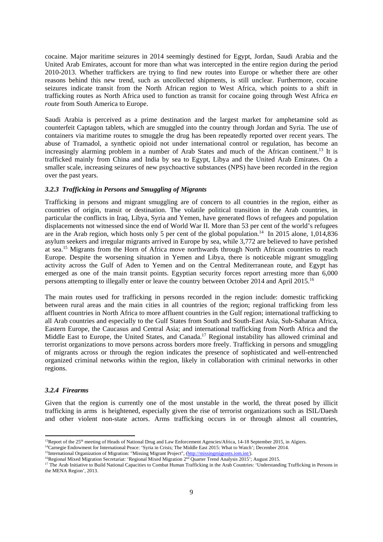cocaine. Major maritime seizures in 2014 seemingly destined for Egypt, Jordan, Saudi Arabia and the United Arab Emirates, account for more than what was intercepted in the entire region during the period 2010-2013. Whether traffickers are trying to find new routes into Europe or whether there are other reasons behind this new trend, such as uncollected shipments, is still unclear. Furthermore, cocaine seizures indicate transit from the North African region to West Africa, which points to a shift in trafficking routes as North Africa used to function as transit for cocaine going through West Africa *en route* from South America to Europe.

Saudi Arabia is perceived as a prime destination and the largest market for amphetamine sold as counterfeit Captagon tablets, which are smuggled into the country through Jordan and Syria. The use of containers via maritime routes to smuggle the drug has been repeatedly reported over recent years. The abuse of Tramadol, a synthetic opioid not under international control or regulation, has become an increasingly alarming problem in a number of Arab States and much of the African continent.<sup>13</sup> It is trafficked mainly from China and India by sea to Egypt, Libya and the United Arab Emirates. On a smaller scale, increasing seizures of new psychoactive substances (NPS) have been recorded in the region over the past years.

#### *3.2.3 Trafficking in Persons and Smuggling of Migrants*

Trafficking in persons and migrant smuggling are of concern to all countries in the region, either as countries of origin, transit or destination. The volatile political transition in the Arab countries, in particular the conflicts in Iraq, Libya, Syria and Yemen, have generated flows of refugees and population displacements not witnessed since the end of World War II. More than 53 per cent of the world's refugees are in the Arab region, which hosts only 5 per cent of the global population.<sup>14</sup> In 2015 alone, 1,014,836 asylum seekers and irregular migrants arrived in Europe by sea, while 3,772 are believed to have perished at sea.15 Migrants from the Horn of Africa move northwards through North African countries to reach Europe. Despite the worsening situation in Yemen and Libya, there is noticeable migrant smuggling activity across the Gulf of Aden to Yemen and on the Central Mediterranean route, and Egypt has emerged as one of the main transit points. Egyptian security forces report arresting more than 6,000 persons attempting to illegally enter or leave the country between October 2014 and April 2015.16

The main routes used for trafficking in persons recorded in the region include: domestic trafficking between rural areas and the main cities in all countries of the region; regional trafficking from less affluent countries in North Africa to more affluent countries in the Gulf region; international trafficking to all Arab countries and especially to the Gulf States from South and South-East Asia, Sub-Saharan Africa, Eastern Europe, the Caucasus and Central Asia; and international trafficking from North Africa and the Middle East to Europe, the United States, and Canada.<sup>17</sup> Regional instability has allowed criminal and terrorist organizations to move persons across borders more freely. Trafficking in persons and smuggling of migrants across or through the region indicates the presence of sophisticated and well-entrenched organized criminal networks within the region, likely in collaboration with criminal networks in other regions.

## *3.2.4 Firearms*

Given that the region is currently one of the most unstable in the world, the threat posed by illicit trafficking in arms is heightened, especially given the rise of terrorist organizations such as ISIL/Daesh and other violent non-state actors. Arms trafficking occurs in or through almost all countries,

<sup>&</sup>lt;sup>13</sup>Report of the 25<sup>th</sup> meeting of Heads of National Drug and Law Enforcement Agencies/Africa, 14-18 September 2015, in Algiers.

<sup>&</sup>lt;sup>14</sup>Carnegie Endowment for International Peace: 'Syria in Crisis; The Middle East 2015: What to Watch'; December 2014.<br><sup>15</sup>International Organization of Migration: "Missing Migrant Project", (http://missingmigrants.iom.int

 $\frac{16}{15}$  Regional Mixed Migration Secretariat: 'Regional Mixed Migration 2<sup>nd</sup> Quarter Trend Analysis 2015'; August 2015.<br><sup>17</sup> The Arab Initiative to Build National Capacities to Combat Human Trafficking in the Arab Co the MENA Region', 2013.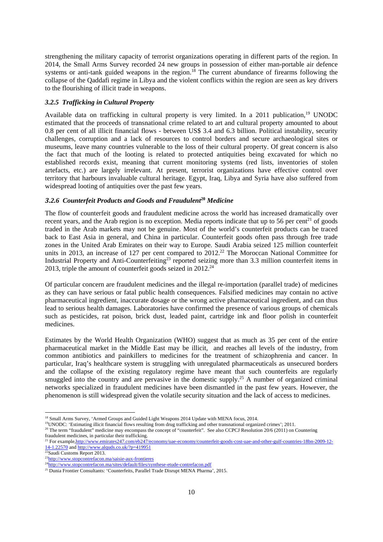strengthening the military capacity of terrorist organizations operating in different parts of the region. In 2014, the Small Arms Survey recorded 24 new groups in possession of either man-portable air defence systems or anti-tank guided weapons in the region.<sup>18</sup> The current abundance of firearms following the collapse of the Qaddafi regime in Libya and the violent conflicts within the region are seen as key drivers to the flourishing of illicit trade in weapons.

#### *3.2.5 Trafficking in Cultural Property*

Available data on trafficking in cultural property is very limited. In a 2011 publication,<sup>19</sup> UNODC estimated that the proceeds of transnational crime related to art and cultural property amounted to about 0.8 per cent of all illicit financial flows - between US\$ 3.4 and 6.3 billion. Political instability, security challenges, corruption and a lack of resources to control borders and secure archaeological sites or museums, leave many countries vulnerable to the loss of their cultural property. Of great concern is also the fact that much of the looting is related to protected antiquities being excavated for which no established records exist, meaning that current monitoring systems (red lists, inventories of stolen artefacts, etc.) are largely irrelevant. At present, terrorist organizations have effective control over territory that harbours invaluable cultural heritage. Egypt, Iraq, Libya and Syria have also suffered from widespread looting of antiquities over the past few years.

#### *3.2.6 Counterfeit Products and Goods and Fraudulent***<sup>20</sup>** *Medicine*

The flow of counterfeit goods and fraudulent medicine across the world has increased dramatically over recent years, and the Arab region is no exception. Media reports indicate that up to 56 per cent<sup>21</sup> of goods traded in the Arab markets may not be genuine. Most of the world's counterfeit products can be traced back to East Asia in general, and China in particular. Counterfeit goods often pass through free trade zones in the United Arab Emirates on their way to Europe. Saudi Arabia seized 125 million counterfeit units in 2013, an increase of 127 per cent compared to 2012.<sup>22</sup> The Moroccan National Committee for Industrial Property and Anti-Counterfeiting<sup>23</sup> reported seizing more than 3.3 million counterfeit items in 2013, triple the amount of counterfeit goods seized in  $2012.<sup>24</sup>$ 

Of particular concern are fraudulent medicines and the illegal re-importation (parallel trade) of medicines as they can have serious or fatal public health consequences. Falsified medicines may contain no active pharmaceutical ingredient, inaccurate dosage or the wrong active pharmaceutical ingredient, and can thus lead to serious health damages. Laboratories have confirmed the presence of various groups of chemicals such as pesticides, rat poison, brick dust, leaded paint, cartridge ink and floor polish in counterfeit medicines.

Estimates by the World Health Organization (WHO) suggest that as much as 35 per cent of the entire pharmaceutical market in the Middle East may be illicit, and reaches all levels of the industry, from common antibiotics and painkillers to medicines for the treatment of schizophrenia and cancer. In particular, Iraq's healthcare system is struggling with unregulated pharmaceuticals as unsecured borders and the collapse of the existing regulatory regime have meant that such counterfeits are regularly smuggled into the country and are pervasive in the domestic supply.<sup>25</sup> A number of organized criminal networks specialized in fraudulent medicines have been dismantled in the past few years. However, the phenomenon is still widespread given the volatile security situation and the lack of access to medicines.

 <sup>18</sup> Small Arms Survey, 'Armed Groups and Guided Light Weapons 2014 Update with MENA focus, 2014.

<sup>19</sup>UNODC: 'Estimating illicit financial flows resulting from drug trafficking and other transnational organized crimes'; 2011.

<sup>&</sup>lt;sup>20</sup> The term "fraudulent" medicine may encompass the concept of "counterfeit". See also CCPCJ Resolution 20/6 (2011) on Countering fraudulent medicines, in particular their trafficking.

<sup>&</sup>lt;sup>21</sup> For example,http://www.emirates247.com/eb247/economy/uae-economy/counterfeit-goods-cost-uae-and-other-gulf-countries-18bn-2009-12-14-1.22570 and http://www.alquds.co.uk/?p=419951

<sup>22</sup>Saudi Customs Report 2013.

<sup>23</sup>http://www.stopcontrefacon.ma/saisie-aux-frontieres

<sup>&</sup>lt;sup>24</sup>http://www.stopcontrefacon.ma/sites/default/files/synthese-etude-contrefacon.pdf

<sup>&</sup>lt;sup>25</sup> Dunia Frontier Consultants: 'Counterfeits, Parallel Trade Disrupt MENA Pharma', 2015.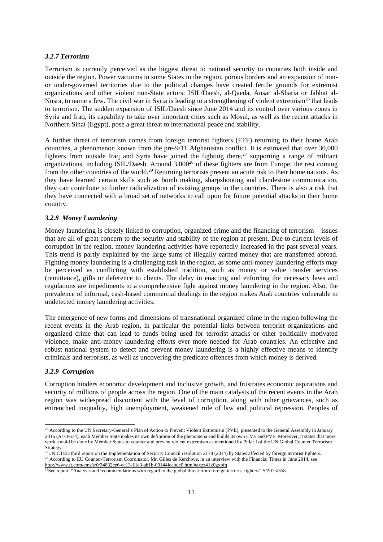#### *3.2.7 Terrorism*

Terrorism is currently perceived as the biggest threat to national security to countries both inside and outside the region. Power vacuums in some States in the region, porous borders and an expansion of nonor under-governed territories due to the political changes have created fertile grounds for extremist organizations and other violent non-State actors: ISIL/Daesh, al-Qaeda, Ansar al-Sharia or Jabhat al-Nusra, to name a few. The civil war in Syria is leading to a strengthening of violent extremism<sup>26</sup> that leads to terrorism. The sudden expansion of ISIL/Daesh since June 2014 and its control over various zones in Syria and Iraq, its capability to take over important cities such as Mosul, as well as the recent attacks in Northern Sinai (Egypt), pose a great threat to international peace and stability.

A further threat of terrorism comes from foreign terrorist fighters (FTF) returning to their home Arab countries, a phenomenon known from the pre-9/11 Afghanistan conflict. It is estimated that over 30,000 fighters from outside Iraq and Syria have joined the fighting there, $27$  supporting a range of militant organizations, including ISIL/Daesh. Around 3,00028 of these fighters are from Europe, the rest coming from the other countries of the world.<sup>29</sup> Returning terrorists present an acute risk to their home nations. As they have learned certain skills such as bomb making, sharpshooting and clandestine communication, they can contribute to further radicalization of existing groups in the countries. There is also a risk that they have connected with a broad set of networks to call upon for future potential attacks in their home country.

#### *3.2.8 Money Laundering*

Money laundering is closely linked to corruption, organized crime and the financing of terrorism – issues that are all of great concern to the security and stability of the region at present. Due to current levels of corruption in the region, money laundering activities have reportedly increased in the past several years. This trend is partly explained by the large sums of illegally earned money that are transferred abroad. Fighting money laundering is a challenging task in the region, as some anti-money laundering efforts may be perceived as conflicting with established tradition, such as money or value transfer services (remittance), gifts or deference to clients. The delay in enacting and enforcing the necessary laws and regulations are impediments to a comprehensive fight against money laundering in the region. Also, the prevalence of informal, cash-based commercial dealings in the region makes Arab countries vulnerable to undetected money laundering activities.

The emergence of new forms and dimensions of transnational organized crime in the region following the recent events in the Arab region, in particular the potential links between terrorist organizations and organized crime that can lead to funds being used for terrorist attacks or other politically motivated violence, make anti-money laundering efforts ever more needed for Arab countries. An effective and robust national system to detect and prevent money laundering is a highly effective means to identify criminals and terrorists, as well as uncovering the predicate offences from which money is derived.

#### *3.2.9 Corruption*

Corruption hinders economic development and inclusive growth, and frustrates economic aspirations and security of millions of people across the region. One of the main catalysts of the recent events in the Arab region was widespread discontent with the level of corruption, along with other grievances, such as entrenched inequality, high unemployment, weakened rule of law and political repression. Peoples of

<sup>&</sup>lt;sup>26</sup> According to the UN Secretary-General's Plan of Action to Prevent Violent Extremism (PVE), presented to the General Assembly in January 2016 (A/70/674), each Member State makes its own definition of the phenomena and builds its own CVE and PVE. Moreover, it states that more work should be done by Member States to counter and prevent violent extremism as mentioned by Pillar I of the UN Global Counter Terrorism Strategy.<br><sup>27</sup>UN CTED third report on the Implementation of Security Council resolution 2178 (2014) by States affected by foreign terrorist fighters.

<sup>&</sup>lt;sup>28</sup> According to EU Counter-Terrorism Coordinator, Mr. Gilles de Kerchove, in an interview with the Financial Times in June 2014, see http://www.ft.com/cms/s/0/34832ce6-ec13-11e3-ab1b-00144feabdc0.html#axzz41k0gxpfq<br><sup>29</sup>See report "Analysis and recommendations with regard to the global threat from foreign terrorist fighters" S/2015/358.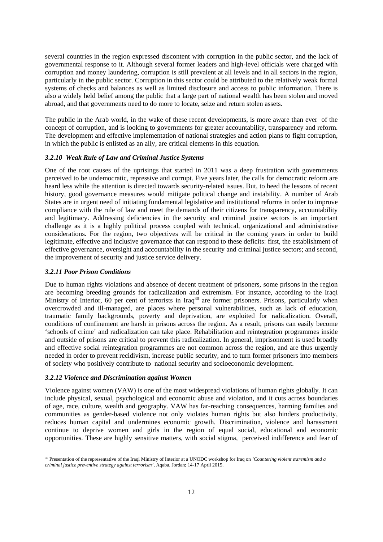several countries in the region expressed discontent with corruption in the public sector, and the lack of governmental response to it. Although several former leaders and high-level officials were charged with corruption and money laundering, corruption is still prevalent at all levels and in all sectors in the region, particularly in the public sector. Corruption in this sector could be attributed to the relatively weak formal systems of checks and balances as well as limited disclosure and access to public information. There is also a widely held belief among the public that a large part of national wealth has been stolen and moved abroad, and that governments need to do more to locate, seize and return stolen assets.

The public in the Arab world, in the wake of these recent developments, is more aware than ever of the concept of corruption, and is looking to governments for greater accountability, transparency and reform. The development and effective implementation of national strategies and action plans to fight corruption, in which the public is enlisted as an ally, are critical elements in this equation.

#### *3.2.10 Weak Rule of Law and Criminal Justice Systems*

One of the root causes of the uprisings that started in 2011 was a deep frustration with governments perceived to be undemocratic, repressive and corrupt. Five years later, the calls for democratic reform are heard less while the attention is directed towards security-related issues. But, to heed the lessons of recent history, good governance measures would mitigate political change and instability. A number of Arab States are in urgent need of initiating fundamental legislative and institutional reforms in order to improve compliance with the rule of law and meet the demands of their citizens for transparency, accountability and legitimacy. Addressing deficiencies in the security and criminal justice sectors is an important challenge as it is a highly political process coupled with technical, organizational and administrative considerations. For the region, two objectives will be critical in the coming years in order to build legitimate, effective and inclusive governance that can respond to these deficits: first, the establishment of effective governance, oversight and accountability in the security and criminal justice sectors; and second, the improvement of security and justice service delivery.

#### *3.2.11 Poor Prison Conditions*

Due to human rights violations and absence of decent treatment of prisoners, some prisons in the region are becoming breeding grounds for radicalization and extremism. For instance, according to the Iraqi Ministry of Interior, 60 per cent of terrorists in Iraq<sup>30</sup> are former prisoners. Prisons, particularly when overcrowded and ill-managed, are places where personal vulnerabilities, such as lack of education, traumatic family backgrounds, poverty and deprivation, are exploited for radicalization. Overall, conditions of confinement are harsh in prisons across the region. As a result, prisons can easily become 'schools of crime' and radicalization can take place. Rehabilitation and reintegration programmes inside and outside of prisons are critical to prevent this radicalization. In general, imprisonment is used broadly and effective social reintegration programmes are not common across the region, and are thus urgently needed in order to prevent recidivism, increase public security, and to turn former prisoners into members of society who positively contribute to national security and socioeconomic development.

#### *3.2.12 Violence and Discrimination against Women*

Violence against women (VAW) is one of the most widespread violations of human rights globally. It can include physical, sexual, psychological and economic abuse and violation, and it cuts across boundaries of age, race, culture, wealth and geography. VAW has far-reaching consequences, harming families and communities as gender-based violence not only violates human rights but also hinders productivity, reduces human capital and undermines economic growth. Discrimination, violence and harassment continue to deprive women and girls in the region of equal social, educational and economic opportunities. These are highly sensitive matters, with social stigma, perceived indifference and fear of

<sup>30</sup> Presentation of the representative of the Iraqi Ministry of Interior at a UNODC workshop for Iraq on *'Countering violent extremism and a criminal justice preventive strategy against terrorism',* Aqaba, Jordan; 14-17 April 2015.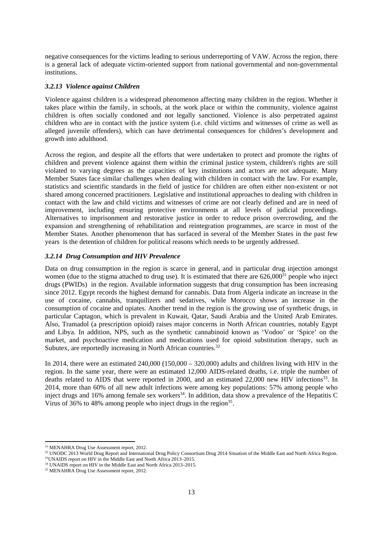negative consequences for the victims leading to serious underreporting of VAW. Across the region, there is a general lack of adequate victim-oriented support from national governmental and non-governmental institutions.

#### *3.2.13 Violence against Children*

Violence against children is a widespread phenomenon affecting many children in the region. Whether it takes place within the family, in schools, at the work place or within the community, violence against children is often socially condoned and not legally sanctioned. Violence is also perpetrated against children who are in contact with the justice system (i.e. child victims and witnesses of crime as well as alleged juvenile offenders), which can have detrimental consequences for children's development and growth into adulthood.

Across the region, and despite all the efforts that were undertaken to protect and promote the rights of children and prevent violence against them within the criminal justice system, children's rights are still violated to varying degrees as the capacities of key institutions and actors are not adequate. Many Member States face similar challenges when dealing with children in contact with the law. For example, statistics and scientific standards in the field of justice for children are often either non-existent or not shared among concerned practitioners. Legislative and institutional approaches to dealing with children in contact with the law and child victims and witnesses of crime are not clearly defined and are in need of improvement, including ensuring protective environments at all levels of judicial proceedings. Alternatives to imprisonment and restorative justice in order to reduce prison overcrowding, and the expansion and strengthening of rehabilitation and reintegration programmes, are scarce in most of the Member States. Another phenomenon that has surfaced in several of the Member States in the past few years is the detention of children for political reasons which needs to be urgently addressed.

#### *3.2.14 Drug Consumption and HIV Prevalence*

Data on drug consumption in the region is scarce in general, and in particular drug injection amongst women (due to the stigma attached to drug use). It is estimated that there are  $626,000^{31}$  people who inject drugs (PWIDs) in the region. Available information suggests that drug consumption has been increasing since 2012. Egypt records the highest demand for cannabis. Data from Algeria indicate an increase in the use of cocaine, cannabis, tranquilizers and sedatives, while Morocco shows an increase in the consumption of cocaine and opiates. Another trend in the region is the growing use of synthetic drugs, in particular Captagon, which is prevalent in Kuwait, Qatar, Saudi Arabia and the United Arab Emirates. Also, Tramadol (a prescription opioid) raises major concerns in North African countries, notably Egypt and Libya. In addition, NPS, such as the synthetic cannabinoid known as 'Vodoo' or 'Spice' on the market, and psychoactive medication and medications used for opioid substitution therapy, such as Subutex, are reportedly increasing in North African countries.<sup>32</sup>

In 2014, there were an estimated 240,000 (150,000 – 320,000) adults and children living with HIV in the region. In the same year, there were an estimated 12,000 AIDS-related deaths, i.e. triple the number of deaths related to AIDS that were reported in 2000, and an estimated 22,000 new HIV infections<sup>33</sup>. In 2014, more than 60% of all new adult infections were among key populations: 57% among people who inject drugs and 16% among female sex workers<sup>34</sup>. In addition, data show a prevalence of the Hepatitis C Virus of 36% to 48% among people who inject drugs in the region  $35$ .

<sup>&</sup>lt;sup>31</sup> MENAHRA Drug Use Assessment report, 2012.

<sup>&</sup>lt;sup>32</sup> UNODC 2013 World Drug Report and International Drug Policy Consortium Drug 2014 Situation of the Middle East and North Africa Region.  $33$ UNAIDS report on HIV in the Middle East and North Africa 2013–2015.

<sup>&</sup>lt;sup>34</sup> UNAIDS report on HIV in the Middle East and North Africa 2013–2015.

<sup>&</sup>lt;sup>35</sup> MENAHRA Drug Use Assessment report, 2012.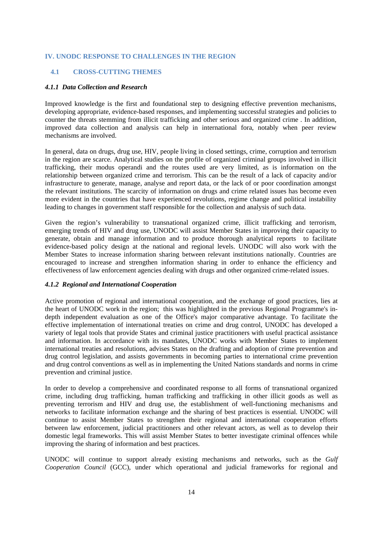#### **IV. UNODC RESPONSE TO CHALLENGES IN THE REGION**

#### **4.1 CROSS-CUTTING THEMES**

#### *4.1.1 Data Collection and Research*

Improved knowledge is the first and foundational step to designing effective prevention mechanisms, developing appropriate, evidence-based responses, and implementing successful strategies and policies to counter the threats stemming from illicit trafficking and other serious and organized crime . In addition, improved data collection and analysis can help in international fora, notably when peer review mechanisms are involved.

In general, data on drugs, drug use, HIV, people living in closed settings, crime, corruption and terrorism in the region are scarce. Analytical studies on the profile of organized criminal groups involved in illicit trafficking, their modus operandi and the routes used are very limited, as is information on the relationship between organized crime and terrorism. This can be the result of a lack of capacity and/or infrastructure to generate, manage, analyse and report data, or the lack of or poor coordination amongst the relevant institutions. The scarcity of information on drugs and crime related issues has become even more evident in the countries that have experienced revolutions, regime change and political instability leading to changes in government staff responsible for the collection and analysis of such data.

Given the region's vulnerability to transnational organized crime, illicit trafficking and terrorism, emerging trends of HIV and drug use, UNODC will assist Member States in improving their capacity to generate, obtain and manage information and to produce thorough analytical reports to facilitate evidence-based policy design at the national and regional levels. UNODC will also work with the Member States to increase information sharing between relevant institutions nationally. Countries are encouraged to increase and strengthen information sharing in order to enhance the efficiency and effectiveness of law enforcement agencies dealing with drugs and other organized crime-related issues.

#### *4.1.2 Regional and International Cooperation*

Active promotion of regional and international cooperation, and the exchange of good practices, lies at the heart of UNODC work in the region; this was highlighted in the previous Regional Programme's indepth independent evaluation as one of the Office's major comparative advantage. To facilitate the effective implementation of international treaties on crime and drug control, UNODC has developed a variety of legal tools that provide States and criminal justice practitioners with useful practical assistance and information. In accordance with its mandates, UNODC works with Member States to implement international treaties and resolutions, advises States on the drafting and adoption of crime prevention and drug control legislation, and assists governments in becoming parties to international crime prevention and drug control conventions as well as in implementing the United Nations standards and norms in crime prevention and criminal justice.

In order to develop a comprehensive and coordinated response to all forms of transnational organized crime, including drug trafficking, human trafficking and trafficking in other illicit goods as well as preventing terrorism and HIV and drug use, the establishment of well-functioning mechanisms and networks to facilitate information exchange and the sharing of best practices is essential. UNODC will continue to assist Member States to strengthen their regional and international cooperation efforts between law enforcement, judicial practitioners and other relevant actors, as well as to develop their domestic legal frameworks. This will assist Member States to better investigate criminal offences while improving the sharing of information and best practices.

UNODC will continue to support already existing mechanisms and networks, such as the *Gulf Cooperation Council* (GCC), under which operational and judicial frameworks for regional and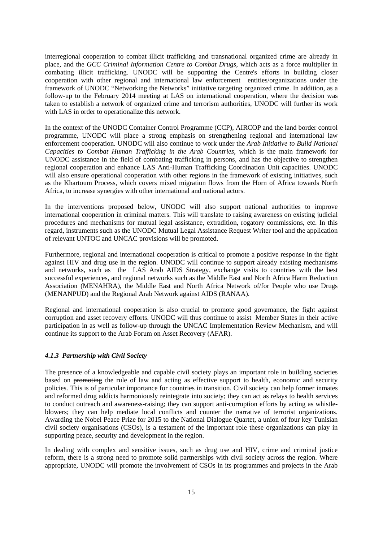interregional cooperation to combat illicit trafficking and transnational organized crime are already in place, and the *GCC Criminal Information Centre to Combat Drugs*, which acts as a force multiplier in combating illicit trafficking. UNODC will be supporting the Centre's efforts in building closer cooperation with other regional and international law enforcement entities/organizations under the framework of UNODC "Networking the Networks" initiative targeting organized crime. In addition, as a follow-up to the February 2014 meeting at LAS on international cooperation, where the decision was taken to establish a network of organized crime and terrorism authorities, UNODC will further its work with LAS in order to operationalize this network.

In the context of the UNODC Container Control Programme (CCP), AIRCOP and the land border control programme, UNODC will place a strong emphasis on strengthening regional and international law enforcement cooperation. UNODC will also continue to work under the *Arab Initiative to Build National Capacities to Combat Human Trafficking in the Arab Countries*, which is the main framework for UNODC assistance in the field of combating trafficking in persons, and has the objective to strengthen regional cooperation and enhance LAS Anti-Human Trafficking Coordination Unit capacities. UNODC will also ensure operational cooperation with other regions in the framework of existing initiatives, such as the Khartoum Process, which covers mixed migration flows from the Horn of Africa towards North Africa, to increase synergies with other international and national actors.

In the interventions proposed below, UNODC will also support national authorities to improve international cooperation in criminal matters. This will translate to raising awareness on existing judicial procedures and mechanisms for mutual legal assistance, extradition, rogatory commissions, etc. In this regard, instruments such as the UNODC Mutual Legal Assistance Request Writer tool and the application of relevant UNTOC and UNCAC provisions will be promoted.

Furthermore, regional and international cooperation is critical to promote a positive response in the fight against HIV and drug use in the region. UNODC will continue to support already existing mechanisms and networks, such as the LAS Arab AIDS Strategy, exchange visits to countries with the best successful experiences, and regional networks such as the Middle East and North Africa Harm Reduction Association (MENAHRA), the Middle East and North Africa Network of/for People who use Drugs (MENANPUD) and the Regional Arab Network against AIDS (RANAA).

Regional and international cooperation is also crucial to promote good governance, the fight against corruption and asset recovery efforts. UNODC will thus continue to assist Member States in their active participation in as well as follow-up through the UNCAC Implementation Review Mechanism, and will continue its support to the Arab Forum on Asset Recovery (AFAR).

#### *4.1.3 Partnership with Civil Society*

The presence of a knowledgeable and capable civil society plays an important role in building societies based on promoting the rule of law and acting as effective support to health, economic and security policies. This is of particular importance for countries in transition. Civil society can help former inmates and reformed drug addicts harmoniously reintegrate into society; they can act as relays to health services to conduct outreach and awareness-raising; they can support anti-corruption efforts by acting as whistleblowers; they can help mediate local conflicts and counter the narrative of terrorist organizations. Awarding the Nobel Peace Prize for 2015 to the National Dialogue Quartet, a union of four key Tunisian civil society organisations (CSOs), is a testament of the important role these organizations can play in supporting peace, security and development in the region.

In dealing with complex and sensitive issues, such as drug use and HIV, crime and criminal justice reform, there is a strong need to promote solid partnerships with civil society across the region. Where appropriate, UNODC will promote the involvement of CSOs in its programmes and projects in the Arab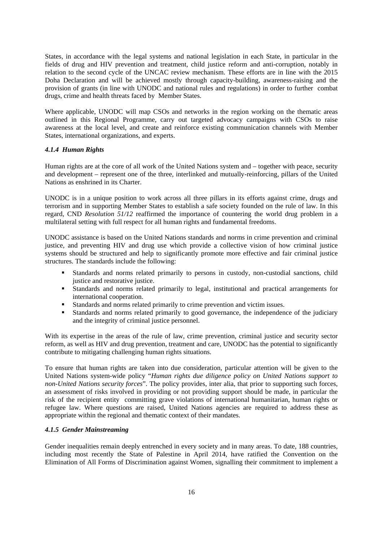States, in accordance with the legal systems and national legislation in each State, in particular in the fields of drug and HIV prevention and treatment, child justice reform and anti-corruption, notably in relation to the second cycle of the UNCAC review mechanism. These efforts are in line with the 2015 Doha Declaration and will be achieved mostly through capacity-building, awareness-raising and the provision of grants (in line with UNODC and national rules and regulations) in order to further combat drugs, crime and health threats faced by Member States.

Where applicable, UNODC will map CSOs and networks in the region working on the thematic areas outlined in this Regional Programme, carry out targeted advocacy campaigns with CSOs to raise awareness at the local level, and create and reinforce existing communication channels with Member States, international organizations, and experts.

#### *4.1.4 Human Rights*

Human rights are at the core of all work of the United Nations system and – together with peace, security and development – represent one of the three, interlinked and mutually-reinforcing, pillars of the United Nations as enshrined in its Charter.

UNODC is in a unique position to work across all three pillars in its efforts against crime, drugs and terrorism and in supporting Member States to establish a safe society founded on the rule of law. In this regard, CND *Resolution 51/12* reaffirmed the importance of countering the world drug problem in a multilateral setting with full respect for all human rights and fundamental freedoms.

UNODC assistance is based on the United Nations standards and norms in crime prevention and criminal justice, and preventing HIV and drug use which provide a collective vision of how criminal justice systems should be structured and help to significantly promote more effective and fair criminal justice structures. The standards include the following:

- Standards and norms related primarily to persons in custody, non-custodial sanctions, child justice and restorative justice.
- Standards and norms related primarily to legal, institutional and practical arrangements for international cooperation.
- Standards and norms related primarily to crime prevention and victim issues.
- Standards and norms related primarily to good governance, the independence of the judiciary and the integrity of criminal justice personnel.

With its expertise in the areas of the rule of law, crime prevention, criminal justice and security sector reform, as well as HIV and drug prevention, treatment and care, UNODC has the potential to significantly contribute to mitigating challenging human rights situations.

To ensure that human rights are taken into due consideration, particular attention will be given to the United Nations system-wide policy "*Human rights due diligence policy on United Nations support to non-United Nations security forces*". The policy provides, inter alia, that prior to supporting such forces, an assessment of risks involved in providing or not providing support should be made, in particular the risk of the recipient entity committing grave violations of international humanitarian, human rights or refugee law. Where questions are raised, United Nations agencies are required to address these as appropriate within the regional and thematic context of their mandates.

## *4.1.5 Gender Mainstreaming*

Gender inequalities remain deeply entrenched in every society and in many areas. To date, 188 countries, including most recently the State of Palestine in April 2014, have ratified the Convention on the Elimination of All Forms of Discrimination against Women, signalling their commitment to implement a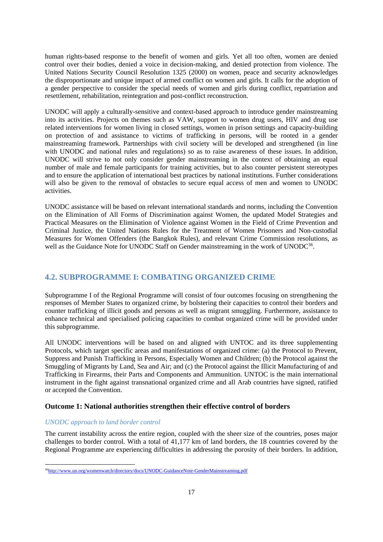human rights-based response to the benefit of women and girls. Yet all too often, women are denied control over their bodies, denied a voice in decision-making, and denied protection from violence. The United Nations Security Council Resolution 1325 (2000) on women, peace and security acknowledges the disproportionate and unique impact of armed conflict on women and girls. It calls for the adoption of a gender perspective to consider the special needs of women and girls during conflict, repatriation and resettlement, rehabilitation, reintegration and post-conflict reconstruction.

UNODC will apply a culturally-sensitive and context-based approach to introduce gender mainstreaming into its activities. Projects on themes such as VAW, support to women drug users, HIV and drug use related interventions for women living in closed settings, women in prison settings and capacity-building on protection of and assistance to victims of trafficking in persons, will be rooted in a gender mainstreaming framework. Partnerships with civil society will be developed and strengthened (in line with UNODC and national rules and regulations) so as to raise awareness of these issues. In addition, UNODC will strive to not only consider gender mainstreaming in the context of obtaining an equal number of male and female participants for training activities, but to also counter persistent stereotypes and to ensure the application of international best practices by national institutions. Further considerations will also be given to the removal of obstacles to secure equal access of men and women to UNODC activities.

UNODC assistance will be based on relevant international standards and norms, including the Convention on the Elimination of All Forms of Discrimination against Women, the updated Model Strategies and Practical Measures on the Elimination of Violence against Women in the Field of Crime Prevention and Criminal Justice, the United Nations Rules for the Treatment of Women Prisoners and Non-custodial Measures for Women Offenders (the Bangkok Rules), and relevant Crime Commission resolutions, as well as the Guidance Note for UNODC Staff on Gender mainstreaming in the work of UNODC<sup>36</sup>.

# **4.2. SUBPROGRAMME I: COMBATING ORGANIZED CRIME**

Subprogramme I of the Regional Programme will consist of four outcomes focusing on strengthening the responses of Member States to organized crime, by bolstering their capacities to control their borders and counter trafficking of illicit goods and persons as well as migrant smuggling. Furthermore, assistance to enhance technical and specialised policing capacities to combat organized crime will be provided under this subprogramme.

All UNODC interventions will be based on and aligned with UNTOC and its three supplementing Protocols, which target specific areas and manifestations of organized crime: (a) the Protocol to Prevent, Suppress and Punish Trafficking in Persons, Especially Women and Children; (b) the Protocol against the Smuggling of Migrants by Land, Sea and Air; and (c) the Protocol against the Illicit Manufacturing of and Trafficking in Firearms, their Parts and Components and Ammunition. UNTOC is the main international instrument in the fight against transnational organized crime and all Arab countries have signed, ratified or accepted the Convention.

## **Outcome 1: National authorities strengthen their effective control of borders**

#### *UNODC approach to land border control*

The current instability across the entire region, coupled with the sheer size of the countries, poses major challenges to border control. With a total of 41,177 km of land borders, the 18 countries covered by the Regional Programme are experiencing difficulties in addressing the porosity of their borders. In addition,

 <sup>36</sup>http://www.un.org/womenwatch/directory/docs/UNODC-GuidanceNote-GenderMainstreaming.pdf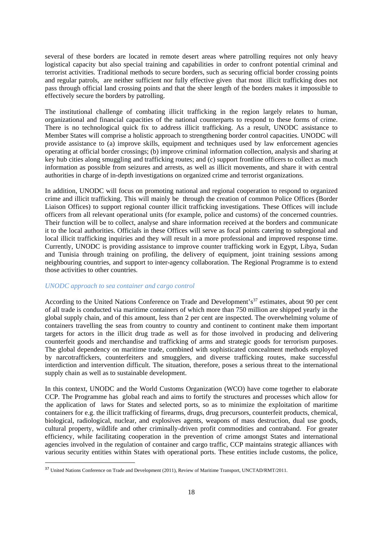several of these borders are located in remote desert areas where patrolling requires not only heavy logistical capacity but also special training and capabilities in order to confront potential criminal and terrorist activities. Traditional methods to secure borders, such as securing official border crossing points and regular patrols, are neither sufficient nor fully effective given that most illicit trafficking does not pass through official land crossing points and that the sheer length of the borders makes it impossible to effectively secure the borders by patrolling.

The institutional challenge of combating illicit trafficking in the region largely relates to human, organizational and financial capacities of the national counterparts to respond to these forms of crime. There is no technological quick fix to address illicit trafficking. As a result, UNODC assistance to Member States will comprise a holistic approach to strengthening border control capacities. UNODC will provide assistance to (a) improve skills, equipment and techniques used by law enforcement agencies operating at official border crossings; (b) improve criminal information collection, analysis and sharing at key hub cities along smuggling and trafficking routes; and (c) support frontline officers to collect as much information as possible from seizures and arrests, as well as illicit movements, and share it with central authorities in charge of in-depth investigations on organized crime and terrorist organizations.

In addition, UNODC will focus on promoting national and regional cooperation to respond to organized crime and illicit trafficking. This will mainly be through the creation of common Police Offices (Border Liaison Offices) to support regional counter illicit trafficking investigations. These Offices will include officers from all relevant operational units (for example, police and customs) of the concerned countries. Their function will be to collect, analyse and share information received at the borders and communicate it to the local authorities. Officials in these Offices will serve as focal points catering to subregional and local illicit trafficking inquiries and they will result in a more professional and improved response time. Currently, UNODC is providing assistance to improve counter trafficking work in Egypt, Libya, Sudan and Tunisia through training on profiling, the delivery of equipment, joint training sessions among neighbouring countries, and support to inter-agency collaboration. The Regional Programme is to extend those activities to other countries.

#### *UNODC approach to sea container and cargo control*

According to the United Nations Conference on Trade and Development's<sup>37</sup> estimates, about 90 per cent of all trade is conducted via maritime containers of which more than 750 million are shipped yearly in the global supply chain, and of this amount, less than 2 per cent are inspected. The overwhelming volume of containers travelling the seas from country to country and continent to continent make them important targets for actors in the illicit drug trade as well as for those involved in producing and delivering counterfeit goods and merchandise and trafficking of arms and strategic goods for terrorism purposes. The global dependency on maritime trade, combined with sophisticated concealment methods employed by narcotraffickers, counterfeiters and smugglers, and diverse trafficking routes, make successful interdiction and intervention difficult. The situation, therefore, poses a serious threat to the international supply chain as well as to sustainable development.

In this context, UNODC and the World Customs Organization (WCO) have come together to elaborate CCP. The Programme has global reach and aims to fortify the structures and processes which allow for the application of laws for States and selected ports, so as to minimize the exploitation of maritime containers for e.g. the illicit trafficking of firearms, drugs, drug precursors, counterfeit products, chemical, biological, radiological, nuclear, and explosives agents, weapons of mass destruction, dual use goods, cultural property, wildlife and other criminally-driven profit commodities and contraband. For greater efficiency, while facilitating cooperation in the prevention of crime amongst States and international agencies involved in the regulation of container and cargo traffic, CCP maintains strategic alliances with various security entities within States with operational ports. These entities include customs, the police,

<sup>&</sup>lt;sup>37</sup> United Nations Conference on Trade and Development (2011), Review of Maritime Transport, UNCTAD/RMT/2011.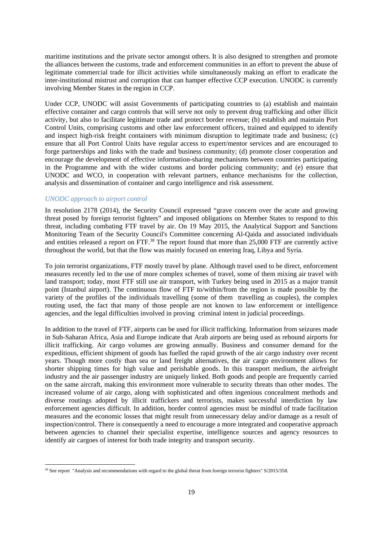maritime institutions and the private sector amongst others. It is also designed to strengthen and promote the alliances between the customs, trade and enforcement communities in an effort to prevent the abuse of legitimate commercial trade for illicit activities while simultaneously making an effort to eradicate the inter-institutional mistrust and corruption that can hamper effective CCP execution. UNODC is currently involving Member States in the region in CCP.

Under CCP, UNODC will assist Governments of participating countries to (a) establish and maintain effective container and cargo controls that will serve not only to prevent drug trafficking and other illicit activity, but also to facilitate legitimate trade and protect border revenue; (b) establish and maintain Port Control Units, comprising customs and other law enforcement officers, trained and equipped to identify and inspect high-risk freight containers with minimum disruption to legitimate trade and business; (c) ensure that all Port Control Units have regular access to expert/mentor services and are encouraged to forge partnerships and links with the trade and business community; (d) promote closer cooperation and encourage the development of effective information-sharing mechanisms between countries participating in the Programme and with the wider customs and border policing community; and (e) ensure that UNODC and WCO, in cooperation with relevant partners, enhance mechanisms for the collection, analysis and dissemination of container and cargo intelligence and risk assessment.

#### *UNODC approach to airport control*

In resolution 2178 (2014), the Security Council expressed "grave concern over the acute and growing threat posed by foreign terrorist fighters" and imposed obligations on Member States to respond to this threat, including combating FTF travel by air. On 19 May 2015, the Analytical Support and Sanctions Monitoring Team of the Security Council's Committee concerning Al-Qaida and associated individuals and entities released a report on FTF.<sup>38</sup> The report found that more than 25,000 FTF are currently active throughout the world, but that the flow was mainly focused on entering Iraq, Libya and Syria.

To join terrorist organizations, FTF mostly travel by plane. Although travel used to be direct, enforcement measures recently led to the use of more complex schemes of travel, some of them mixing air travel with land transport; today, most FTF still use air transport, with Turkey being used in 2015 as a major transit point (Istanbul airport). The continuous flow of FTF to/within/from the region is made possible by the variety of the profiles of the individuals travelling (some of them travelling as couples), the complex routing used, the fact that many of those people are not known to law enforcement or intelligence agencies, and the legal difficulties involved in proving criminal intent in judicial proceedings.

In addition to the travel of FTF, airports can be used for illicit trafficking. Information from seizures made in Sub-Saharan Africa, Asia and Europe indicate that Arab airports are being used as rebound airports for illicit trafficking. Air cargo volumes are growing annually. Business and consumer demand for the expeditious, efficient shipment of goods has fuelled the rapid growth of the air cargo industry over recent years. Though more costly than sea or land freight alternatives, the air cargo environment allows for shorter shipping times for high value and perishable goods. In this transport medium, the airfreight industry and the air passenger industry are uniquely linked. Both goods and people are frequently carried on the same aircraft, making this environment more vulnerable to security threats than other modes. The increased volume of air cargo, along with sophisticated and often ingenious concealment methods and diverse routings adopted by illicit traffickers and terrorists, makes successful interdiction by law enforcement agencies difficult. In addition, border control agencies must be mindful of trade facilitation measures and the economic losses that might result from unnecessary delay and/or damage as a result of inspection/control. There is consequently a need to encourage a more integrated and cooperative approach between agencies to channel their specialist expertise, intelligence sources and agency resources to identify air cargoes of interest for both trade integrity and transport security.

<sup>&</sup>lt;sup>38</sup> See report "Analysis and recommendations with regard to the global threat from foreign terrorist fighters" S/2015/358.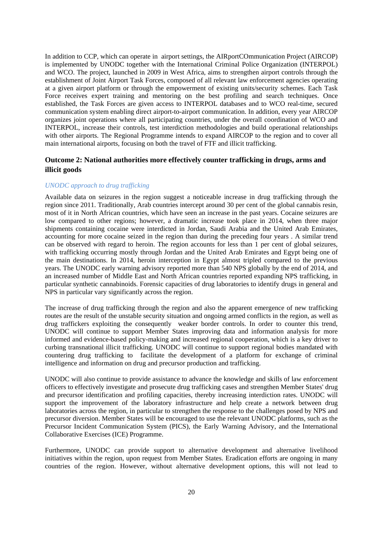In addition to CCP, which can operate in airport settings, the AIRportCOmmunication Project (AIRCOP) is implemented by UNODC together with the International Criminal Police Organization (INTERPOL) and WCO. The project, launched in 2009 in West Africa, aims to strengthen airport controls through the establishment of Joint Airport Task Forces, composed of all relevant law enforcement agencies operating at a given airport platform or through the empowerment of existing units/security schemes. Each Task Force receives expert training and mentoring on the best profiling and search techniques. Once established, the Task Forces are given access to INTERPOL databases and to WCO real-time, secured communication system enabling direct airport-to-airport communication. In addition, every year AIRCOP organizes joint operations where all participating countries, under the overall coordination of WCO and INTERPOL, increase their controls, test interdiction methodologies and build operational relationships with other airports. The Regional Programme intends to expand AIRCOP to the region and to cover all main international airports, focusing on both the travel of FTF and illicit trafficking.

# **Outcome 2: National authorities more effectively counter trafficking in drugs, arms and illicit goods**

#### *UNODC approach to drug trafficking*

Available data on seizures in the region suggest a noticeable increase in drug trafficking through the region since 2011. Traditionally, Arab countries intercept around 30 per cent of the global cannabis resin, most of it in North African countries, which have seen an increase in the past years. Cocaine seizures are low compared to other regions; however, a dramatic increase took place in 2014, when three major shipments containing cocaine were interdicted in Jordan, Saudi Arabia and the United Arab Emirates, accounting for more cocaine seized in the region than during the preceding four years . A similar trend can be observed with regard to heroin. The region accounts for less than 1 per cent of global seizures, with trafficking occurring mostly through Jordan and the United Arab Emirates and Egypt being one of the main destinations. In 2014, heroin interception in Egypt almost tripled compared to the previous years. The UNODC early warning advisory reported more than 540 NPS globally by the end of 2014, and an increased number of Middle East and North African countries reported expanding NPS trafficking, in particular synthetic cannabinoids. Forensic capacities of drug laboratories to identify drugs in general and NPS in particular vary significantly across the region.

The increase of drug trafficking through the region and also the apparent emergence of new trafficking routes are the result of the unstable security situation and ongoing armed conflicts in the region, as well as drug traffickers exploiting the consequently weaker border controls. In order to counter this trend, UNODC will continue to support Member States improving data and information analysis for more informed and evidence-based policy-making and increased regional cooperation, which is a key driver to curbing transnational illicit trafficking. UNODC will continue to support regional bodies mandated with countering drug trafficking to facilitate the development of a platform for exchange of criminal intelligence and information on drug and precursor production and trafficking.

UNODC will also continue to provide assistance to advance the knowledge and skills of law enforcement officers to effectively investigate and prosecute drug trafficking cases and strengthen Member States' drug and precursor identification and profiling capacities, thereby increasing interdiction rates. UNODC will support the improvement of the laboratory infrastructure and help create a network between drug laboratories across the region, in particular to strengthen the response to the challenges posed by NPS and precursor diversion. Member States will be encouraged to use the relevant UNODC platforms, such as the Precursor Incident Communication System (PICS), the Early Warning Advisory, and the International Collaborative Exercises (ICE) Programme.

Furthermore, UNODC can provide support to alternative development and alternative livelihood initiatives within the region, upon request from Member States. Eradication efforts are ongoing in many countries of the region. However, without alternative development options, this will not lead to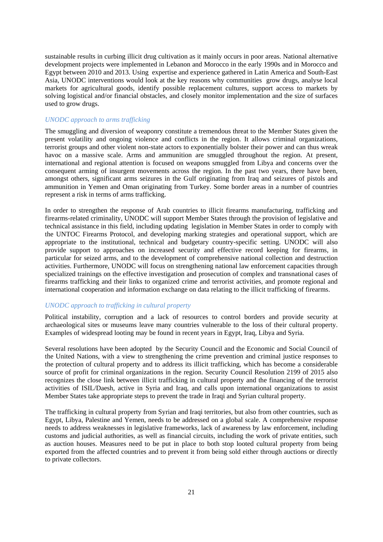sustainable results in curbing illicit drug cultivation as it mainly occurs in poor areas. National alternative development projects were implemented in Lebanon and Morocco in the early 1990s and in Morocco and Egypt between 2010 and 2013. Using expertise and experience gathered in Latin America and South-East Asia, UNODC interventions would look at the key reasons why communities grow drugs, analyse local markets for agricultural goods, identify possible replacement cultures, support access to markets by solving logistical and/or financial obstacles, and closely monitor implementation and the size of surfaces used to grow drugs.

## *UNODC approach to arms trafficking*

The smuggling and diversion of weaponry constitute a tremendous threat to the Member States given the present volatility and ongoing violence and conflicts in the region. It allows criminal organizations, terrorist groups and other violent non-state actors to exponentially bolster their power and can thus wreak havoc on a massive scale. Arms and ammunition are smuggled throughout the region. At present, international and regional attention is focused on weapons smuggled from Libya and concerns over the consequent arming of insurgent movements across the region. In the past two years, there have been, amongst others, significant arms seizures in the Gulf originating from Iraq and seizures of pistols and ammunition in Yemen and Oman originating from Turkey. Some border areas in a number of countries represent a risk in terms of arms trafficking.

In order to strengthen the response of Arab countries to illicit firearms manufacturing, trafficking and firearms-related criminality, UNODC will support Member States through the provision of legislative and technical assistance in this field, including updating legislation in Member States in order to comply with the UNTOC Firearms Protocol, and developing marking strategies and operational support, which are appropriate to the institutional, technical and budgetary country-specific setting. UNODC will also provide support to approaches on increased security and effective record keeping for firearms, in particular for seized arms, and to the development of comprehensive national collection and destruction activities. Furthermore, UNODC will focus on strengthening national law enforcement capacities through specialized trainings on the effective investigation and prosecution of complex and transnational cases of firearms trafficking and their links to organized crime and terrorist activities, and promote regional and international cooperation and information exchange on data relating to the illicit trafficking of firearms.

#### *UNODC approach to trafficking in cultural property*

Political instability, corruption and a lack of resources to control borders and provide security at archaeological sites or museums leave many countries vulnerable to the loss of their cultural property. Examples of widespread looting may be found in recent years in Egypt, Iraq, Libya and Syria.

Several resolutions have been adopted by the Security Council and the Economic and Social Council of the United Nations, with a view to strengthening the crime prevention and criminal justice responses to the protection of cultural property and to address its illicit trafficking, which has become a considerable source of profit for criminal organizations in the region. Security Council Resolution 2199 of 2015 also recognizes the close link between illicit trafficking in cultural property and the financing of the terrorist activities of ISIL/Daesh, active in Syria and Iraq, and calls upon international organizations to assist Member States take appropriate steps to prevent the trade in Iraqi and Syrian cultural property.

The trafficking in cultural property from Syrian and Iraqi territories, but also from other countries, such as Egypt, Libya, Palestine and Yemen, needs to be addressed on a global scale. A comprehensive response needs to address weaknesses in legislative frameworks, lack of awareness by law enforcement, including customs and judicial authorities, as well as financial circuits, including the work of private entities, such as auction houses. Measures need to be put in place to both stop looted cultural property from being exported from the affected countries and to prevent it from being sold either through auctions or directly to private collectors.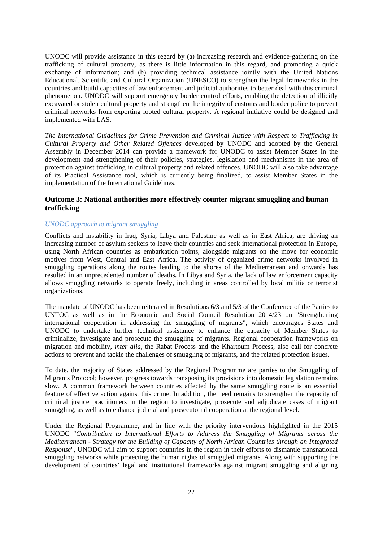UNODC will provide assistance in this regard by (a) increasing research and evidence-gathering on the trafficking of cultural property, as there is little information in this regard, and promoting a quick exchange of information; and (b) providing technical assistance jointly with the United Nations Educational, Scientific and Cultural Organization (UNESCO) to strengthen the legal frameworks in the countries and build capacities of law enforcement and judicial authorities to better deal with this criminal phenomenon. UNODC will support emergency border control efforts, enabling the detection of illicitly excavated or stolen cultural property and strengthen the integrity of customs and border police to prevent criminal networks from exporting looted cultural property. A regional initiative could be designed and implemented with LAS.

*The International Guidelines for Crime Prevention and Criminal Justice with Respect to Trafficking in Cultural Property and Other Related Offences* developed by UNODC and adopted by the General Assembly in December 2014 can provide a framework for UNODC to assist Member States in the development and strengthening of their policies, strategies, legislation and mechanisms in the area of protection against trafficking in cultural property and related offences. UNODC will also take advantage of its Practical Assistance tool, which is currently being finalized, to assist Member States in the implementation of the International Guidelines.

# **Outcome 3: National authorities more effectively counter migrant smuggling and human trafficking**

#### *UNODC approach to migrant smuggling*

Conflicts and instability in Iraq, Syria, Libya and Palestine as well as in East Africa, are driving an increasing number of asylum seekers to leave their countries and seek international protection in Europe, using North African countries as embarkation points, alongside migrants on the move for economic motives from West, Central and East Africa. The activity of organized crime networks involved in smuggling operations along the routes leading to the shores of the Mediterranean and onwards has resulted in an unprecedented number of deaths. In Libya and Syria, the lack of law enforcement capacity allows smuggling networks to operate freely, including in areas controlled by local militia or terrorist organizations.

The mandate of UNODC has been reiterated in Resolutions 6/3 and 5/3 of the Conference of the Parties to UNTOC as well as in the Economic and Social Council Resolution 2014/23 on "Strengthening international cooperation in addressing the smuggling of migrants", which encourages States and UNODC to undertake further technical assistance to enhance the capacity of Member States to criminalize, investigate and prosecute the smuggling of migrants. Regional cooperation frameworks on migration and mobility, *inter alia*, the Rabat Process and the Khartoum Process, also call for concrete actions to prevent and tackle the challenges of smuggling of migrants, and the related protection issues.

To date, the majority of States addressed by the Regional Programme are parties to the Smuggling of Migrants Protocol; however, progress towards transposing its provisions into domestic legislation remains slow. A common framework between countries affected by the same smuggling route is an essential feature of effective action against this crime. In addition, the need remains to strengthen the capacity of criminal justice practitioners in the region to investigate, prosecute and adjudicate cases of migrant smuggling, as well as to enhance judicial and prosecutorial cooperation at the regional level.

Under the Regional Programme, and in line with the priority interventions highlighted in the 2015 UNODC "*Contribution to International Efforts to Address the Smuggling of Migrants across the Mediterranean - Strategy for the Building of Capacity of North African Countries through an Integrated Response*", UNODC will aim to support countries in the region in their efforts to dismantle transnational smuggling networks while protecting the human rights of smuggled migrants. Along with supporting the development of countries' legal and institutional frameworks against migrant smuggling and aligning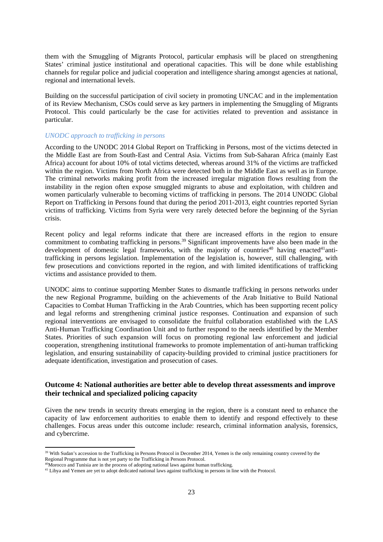them with the Smuggling of Migrants Protocol, particular emphasis will be placed on strengthening States' criminal justice institutional and operational capacities. This will be done while establishing channels for regular police and judicial cooperation and intelligence sharing amongst agencies at national, regional and international levels.

Building on the successful participation of civil society in promoting UNCAC and in the implementation of its Review Mechanism, CSOs could serve as key partners in implementing the Smuggling of Migrants Protocol. This could particularly be the case for activities related to prevention and assistance in particular.

#### *UNODC approach to trafficking in persons*

According to the UNODC 2014 Global Report on Trafficking in Persons, most of the victims detected in the Middle East are from South-East and Central Asia. Victims from Sub-Saharan Africa (mainly East Africa) account for about 10% of total victims detected, whereas around 31% of the victims are trafficked within the region. Victims from North Africa were detected both in the Middle East as well as in Europe. The criminal networks making profit from the increased irregular migration flows resulting from the instability in the region often expose smuggled migrants to abuse and exploitation, with children and women particularly vulnerable to becoming victims of trafficking in persons. The 2014 UNODC Global Report on Trafficking in Persons found that during the period 2011-2013, eight countries reported Syrian victims of trafficking. Victims from Syria were very rarely detected before the beginning of the Syrian crisis.

Recent policy and legal reforms indicate that there are increased efforts in the region to ensure commitment to combating trafficking in persons.<sup>39</sup> Significant improvements have also been made in the development of domestic legal frameworks, with the majority of countries<sup>40</sup> having enacted<sup>41</sup>antitrafficking in persons legislation. Implementation of the legislation is, however, still challenging, with few prosecutions and convictions reported in the region, and with limited identifications of trafficking victims and assistance provided to them.

UNODC aims to continue supporting Member States to dismantle trafficking in persons networks under the new Regional Programme, building on the achievements of the Arab Initiative to Build National Capacities to Combat Human Trafficking in the Arab Countries, which has been supporting recent policy and legal reforms and strengthening criminal justice responses. Continuation and expansion of such regional interventions are envisaged to consolidate the fruitful collaboration established with the LAS Anti-Human Trafficking Coordination Unit and to further respond to the needs identified by the Member States. Priorities of such expansion will focus on promoting regional law enforcement and judicial cooperation, strengthening institutional frameworks to promote implementation of anti-human trafficking legislation, and ensuring sustainability of capacity-building provided to criminal justice practitioners for adequate identification, investigation and prosecution of cases.

# **Outcome 4: National authorities are better able to develop threat assessments and improve their technical and specialized policing capacity**

Given the new trends in security threats emerging in the region, there is a constant need to enhance the capacity of law enforcement authorities to enable them to identify and respond effectively to these challenges. Focus areas under this outcome include: research, criminal information analysis, forensics, and cybercrime.

<sup>&</sup>lt;sup>39</sup> With Sudan's accession to the Trafficking in Persons Protocol in December 2014, Yemen is the only remaining country covered by the Regional Programme that is not yet party to the Trafficking in Persons Protocol.

<sup>&</sup>lt;sup>40</sup>Morocco and Tunisia are in the process of adopting national laws against human trafficking.

<sup>&</sup>lt;sup>41</sup> Libya and Yemen are yet to adopt dedicated national laws against trafficking in persons in line with the Protocol.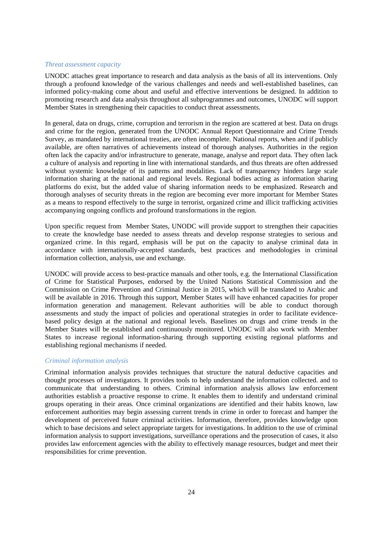#### *Threat assessment capacity*

UNODC attaches great importance to research and data analysis as the basis of all its interventions. Only through a profound knowledge of the various challenges and needs and well-established baselines, can informed policy-making come about and useful and effective interventions be designed. In addition to promoting research and data analysis throughout all subprogrammes and outcomes, UNODC will support Member States in strengthening their capacities to conduct threat assessments.

In general, data on drugs, crime, corruption and terrorism in the region are scattered at best. Data on drugs and crime for the region, generated from the UNODC Annual Report Questionnaire and Crime Trends Survey, as mandated by international treaties, are often incomplete. National reports, when and if publicly available, are often narratives of achievements instead of thorough analyses. Authorities in the region often lack the capacity and/or infrastructure to generate, manage, analyse and report data. They often lack a culture of analysis and reporting in line with international standards, and thus threats are often addressed without systemic knowledge of its patterns and modalities. Lack of transparency hinders large scale information sharing at the national and regional levels. Regional bodies acting as information sharing platforms do exist, but the added value of sharing information needs to be emphasized. Research and thorough analyses of security threats in the region are becoming ever more important for Member States as a means to respond effectively to the surge in terrorist, organized crime and illicit trafficking activities accompanying ongoing conflicts and profound transformations in the region.

Upon specific request from Member States, UNODC will provide support to strengthen their capacities to create the knowledge base needed to assess threats and develop response strategies to serious and organized crime. In this regard, emphasis will be put on the capacity to analyse criminal data in accordance with internationally-accepted standards, best practices and methodologies in criminal information collection, analysis, use and exchange.

UNODC will provide access to best-practice manuals and other tools, e.g. the International Classification of Crime for Statistical Purposes, endorsed by the United Nations Statistical Commission and the Commission on Crime Prevention and Criminal Justice in 2015, which will be translated to Arabic and will be available in 2016. Through this support, Member States will have enhanced capacities for proper information generation and management. Relevant authorities will be able to conduct thorough assessments and study the impact of policies and operational strategies in order to facilitate evidencebased policy design at the national and regional levels. Baselines on drugs and crime trends in the Member States will be established and continuously monitored. UNODC will also work with Member States to increase regional information-sharing through supporting existing regional platforms and establishing regional mechanisms if needed.

#### *Criminal information analysis*

Criminal information analysis provides techniques that structure the natural deductive capacities and thought processes of investigators. It provides tools to help understand the information collected. and to communicate that understanding to others. Criminal information analysis allows law enforcement authorities establish a proactive response to crime. It enables them to identify and understand criminal groups operating in their areas. Once criminal organizations are identified and their habits known, law enforcement authorities may begin assessing current trends in crime in order to forecast and hamper the development of perceived future criminal activities. Information, therefore, provides knowledge upon which to base decisions and select appropriate targets for investigations. In addition to the use of criminal information analysis to support investigations, surveillance operations and the prosecution of cases, it also provides law enforcement agencies with the ability to effectively manage resources, budget and meet their responsibilities for crime prevention.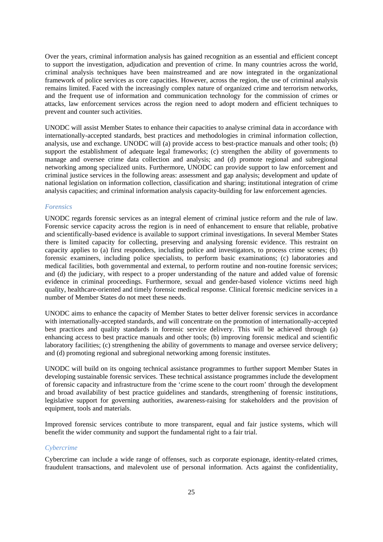Over the years, criminal information analysis has gained recognition as an essential and efficient concept to support the investigation, adjudication and prevention of crime. In many countries across the world, criminal analysis techniques have been mainstreamed and are now integrated in the organizational framework of police services as core capacities. However, across the region, the use of criminal analysis remains limited. Faced with the increasingly complex nature of organized crime and terrorism networks, and the frequent use of information and communication technology for the commission of crimes or attacks, law enforcement services across the region need to adopt modern and efficient techniques to prevent and counter such activities.

UNODC will assist Member States to enhance their capacities to analyse criminal data in accordance with internationally-accepted standards, best practices and methodologies in criminal information collection, analysis, use and exchange. UNODC will (a) provide access to best-practice manuals and other tools; (b) support the establishment of adequate legal frameworks; (c) strengthen the ability of governments to manage and oversee crime data collection and analysis; and (d) promote regional and subregional networking among specialized units. Furthermore, UNODC can provide support to law enforcement and criminal justice services in the following areas: assessment and gap analysis; development and update of national legislation on information collection, classification and sharing; institutional integration of crime analysis capacities; and criminal information analysis capacity-building for law enforcement agencies.

#### *Forensics*

UNODC regards forensic services as an integral element of criminal justice reform and the rule of law. Forensic service capacity across the region is in need of enhancement to ensure that reliable, probative and scientifically-based evidence is available to support criminal investigations. In several Member States there is limited capacity for collecting, preserving and analysing forensic evidence. This restraint on capacity applies to (a) first responders, including police and investigators, to process crime scenes; (b) forensic examiners, including police specialists, to perform basic examinations; (c) laboratories and medical facilities, both governmental and external, to perform routine and non-routine forensic services; and (d) the judiciary, with respect to a proper understanding of the nature and added value of forensic evidence in criminal proceedings. Furthermore, sexual and gender-based violence victims need high quality, healthcare-oriented and timely forensic medical response. Clinical forensic medicine services in a number of Member States do not meet these needs.

UNODC aims to enhance the capacity of Member States to better deliver forensic services in accordance with internationally-accepted standards, and will concentrate on the promotion of internationally-accepted best practices and quality standards in forensic service delivery. This will be achieved through (a) enhancing access to best practice manuals and other tools; (b) improving forensic medical and scientific laboratory facilities; (c) strengthening the ability of governments to manage and oversee service delivery; and (d) promoting regional and subregional networking among forensic institutes.

UNODC will build on its ongoing technical assistance programmes to further support Member States in developing sustainable forensic services. These technical assistance programmes include the development of forensic capacity and infrastructure from the 'crime scene to the court room' through the development and broad availability of best practice guidelines and standards, strengthening of forensic institutions, legislative support for governing authorities, awareness-raising for stakeholders and the provision of equipment, tools and materials.

Improved forensic services contribute to more transparent, equal and fair justice systems, which will benefit the wider community and support the fundamental right to a fair trial.

#### *Cybercrime*

Cybercrime can include a wide range of offenses, such as corporate espionage, identity-related crimes, fraudulent transactions, and malevolent use of personal information. Acts against the confidentiality,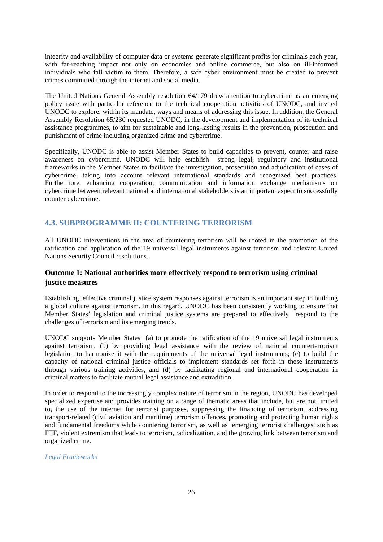integrity and availability of computer data or systems generate significant profits for criminals each year, with far-reaching impact not only on economies and online commerce, but also on ill-informed individuals who fall victim to them. Therefore, a safe cyber environment must be created to prevent crimes committed through the internet and social media.

The United Nations General Assembly resolution 64/179 drew attention to cybercrime as an emerging policy issue with particular reference to the technical cooperation activities of UNODC, and invited UNODC to explore, within its mandate, ways and means of addressing this issue. In addition, the General Assembly Resolution 65/230 requested UNODC, in the development and implementation of its technical assistance programmes, to aim for sustainable and long-lasting results in the prevention, prosecution and punishment of crime including organized crime and cybercrime.

Specifically, UNODC is able to assist Member States to build capacities to prevent, counter and raise awareness on cybercrime. UNODC will help establish strong legal, regulatory and institutional frameworks in the Member States to facilitate the investigation, prosecution and adjudication of cases of cybercrime, taking into account relevant international standards and recognized best practices. Furthermore, enhancing cooperation, communication and information exchange mechanisms on cybercrime between relevant national and international stakeholders is an important aspect to successfully counter cybercrime.

# **4.3. SUBPROGRAMME II: COUNTERING TERRORISM**

All UNODC interventions in the area of countering terrorism will be rooted in the promotion of the ratification and application of the 19 universal legal instruments against terrorism and relevant United Nations Security Council resolutions.

# **Outcome 1: National authorities more effectively respond to terrorism using criminal justice measures**

Establishing effective criminal justice system responses against terrorism is an important step in building a global culture against terrorism. In this regard, UNODC has been consistently working to ensure that Member States' legislation and criminal justice systems are prepared to effectively respond to the challenges of terrorism and its emerging trends.

UNODC supports Member States (a) to promote the ratification of the 19 universal legal instruments against terrorism; (b) by providing legal assistance with the review of national counterterrorism legislation to harmonize it with the requirements of the universal legal instruments; (c) to build the capacity of national criminal justice officials to implement standards set forth in these instruments through various training activities, and (d) by facilitating regional and international cooperation in criminal matters to facilitate mutual legal assistance and extradition.

In order to respond to the increasingly complex nature of terrorism in the region, UNODC has developed specialized expertise and provides training on a range of thematic areas that include, but are not limited to, the use of the internet for terrorist purposes, suppressing the financing of terrorism, addressing transport-related (civil aviation and maritime) terrorism offences, promoting and protecting human rights and fundamental freedoms while countering terrorism, as well as emerging terrorist challenges, such as FTF, violent extremism that leads to terrorism, radicalization, and the growing link between terrorism and organized crime.

#### *Legal Frameworks*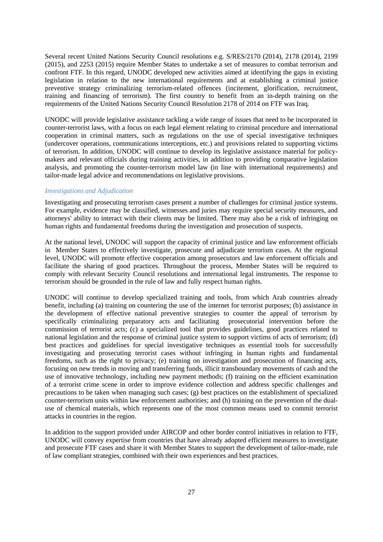Several recent United Nations Security Council resolutions e.g. S/RES/2170 (2014), 2178 (2014), 2199 (2015), and 2253 (2015) require Member States to undertake a set of measures to combat terrorism and confront FTF. In this regard, UNODC developed new activities aimed at identifying the gaps in existing legislation in relation to the new international requirements and at establishing a criminal justice preventive strategy criminalizing terrorism-related offences (incitement, glorification, recruitment, training and financing of terrorism). The first country to benefit from an in-depth training on the requirements of the United Nations Security Council Resolution 2178 of 2014 on FTF was Iraq.

UNODC will provide legislative assistance tackling a wide range of issues that need to be incorporated in counter-terrorist laws, with a focus on each legal element relating to criminal procedure and international cooperation in criminal matters, such as regulations on the use of special investigative techniques (undercover operations, communications interceptions, etc.) and provisions related to supporting victims of terrorism. In addition, UNODC will continue to develop its legislative assistance material for policymakers and relevant officials during training activities, in addition to providing comparative legislation analysis, and promoting the counter-terrorism model law (in line with international requirements) and tailor-made legal advice and recommendations on legislative provisions.

#### *Investigations and Adjudication*

Investigating and prosecuting terrorism cases present a number of challenges for criminal justice systems. For example, evidence may be classified, witnesses and juries may require special security measures, and attorneys' ability to interact with their clients may be limited. There may also be a risk of infringing on human rights and fundamental freedoms during the investigation and prosecution of suspects.

At the national level, UNODC will support the capacity of criminal justice and law enforcement officials in Member States to effectively investigate, prosecute and adjudicate terrorism cases. At the regional level, UNODC will promote effective cooperation among prosecutors and law enforcement officials and facilitate the sharing of good practices. Throughout the process, Member States will be required to comply with relevant Security Council resolutions and international legal instruments. The response to terrorism should be grounded in the rule of law and fully respect human rights.

UNODC will continue to develop specialized training and tools, from which Arab countries already benefit, including (a) training on countering the use of the internet for terrorist purposes; (b) assistance in the development of effective national preventive strategies to counter the appeal of terrorism by specifically criminalizing preparatory acts and facilitating prosecutorial intervention before the  $specifically$  criminalizing preparatory acts and facilitating commission of terrorist acts; (c) a specialized tool that provides guidelines, good practices related to national legislation and the response of criminal justice system to support victims of acts of terrorism; (d) best practices and guidelines for special investigative techniques as essential tools for successfully investigating and prosecuting terrorist cases without infringing in human rights and fundamental freedoms, such as the right to privacy; (e) training on investigation and prosecution of financing acts, focusing on new trends in moving and transferring funds, illicit transboundary movements of cash and the use of innovative technology, including new payment methods; (f) training on the efficient examination of a terrorist crime scene in order to improve evidence collection and address specific challenges and precautions to be taken when managing such cases; (g) best practices on the establishment of specialized counter-terrorism units within law enforcement authorities; and (h) training on the prevention of the dualuse of chemical materials, which represents one of the most common means used to commit terrorist attacks in countries in the region.

In addition to the support provided under AIRCOP and other border control initiatives in relation to FTF, UNODC will convey expertise from countries that have already adopted efficient measures to investigate and prosecute FTF cases and share it with Member States to support the development of tailor-made, rule of law compliant strategies, combined with their own experiences and best practices.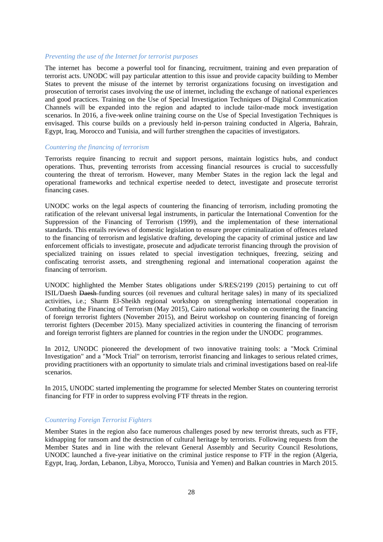#### *Preventing the use of the Internet for terrorist purposes*

The internet has become a powerful tool for financing, recruitment, training and even preparation of terrorist acts. UNODC will pay particular attention to this issue and provide capacity building to Member States to prevent the misuse of the internet by terrorist organizations focusing on investigation and prosecution of terrorist cases involving the use of internet, including the exchange of national experiences and good practices. Training on the Use of Special Investigation Techniques of Digital Communication Channels will be expanded into the region and adapted to include tailor-made mock investigation scenarios. In 2016, a five-week online training course on the Use of Special Investigation Techniques is envisaged. This course builds on a previously held in-person training conducted in Algeria, Bahrain, Egypt, Iraq, Morocco and Tunisia, and will further strengthen the capacities of investigators.

#### *Countering the financing of terrorism*

Terrorists require financing to recruit and support persons, maintain logistics hubs, and conduct operations. Thus, preventing terrorists from accessing financial resources is crucial to successfully countering the threat of terrorism. However, many Member States in the region lack the legal and operational frameworks and technical expertise needed to detect, investigate and prosecute terrorist financing cases.

UNODC works on the legal aspects of countering the financing of terrorism, including promoting the ratification of the relevant universal legal instruments, in particular the International Convention for the Suppression of the Financing of Terrorism (1999), and the implementation of these international standards. This entails reviews of domestic legislation to ensure proper criminalization of offences related to the financing of terrorism and legislative drafting, developing the capacity of criminal justice and law enforcement officials to investigate, prosecute and adjudicate terrorist financing through the provision of specialized training on issues related to special investigation techniques, freezing, seizing and confiscating terrorist assets, and strengthening regional and international cooperation against the financing of terrorism.

UNODC highlighted the Member States obligations under S/RES/2199 (2015) pertaining to cut off ISIL/Daesh Daesh funding sources (oil revenues and cultural heritage sales) in many of its specialized activities, i.e.; Sharm El-Sheikh regional workshop on strengthening international cooperation in Combating the Financing of Terrorism (May 2015), Cairo national workshop on countering the financing of foreign terrorist fighters (November 2015), and Beirut workshop on countering financing of foreign terrorist fighters (December 2015). Many specialized activities in countering the financing of terrorism and foreign terrorist fighters are planned for countries in the region under the UNODC programmes.

In 2012, UNODC pioneered the development of two innovative training tools: a "Mock Criminal Investigation" and a "Mock Trial" on terrorism, terrorist financing and linkages to serious related crimes, providing practitioners with an opportunity to simulate trials and criminal investigations based on real-life scenarios.

In 2015, UNODC started implementing the programme for selected Member States on countering terrorist financing for FTF in order to suppress evolving FTF threats in the region.

#### *Countering Foreign Terrorist Fighters*

Member States in the region also face numerous challenges posed by new terrorist threats, such as FTF, kidnapping for ransom and the destruction of cultural heritage by terrorists. Following requests from the Member States and in line with the relevant General Assembly and Security Council Resolutions, UNODC launched a five-year initiative on the criminal justice response to FTF in the region (Algeria, Egypt, Iraq, Jordan, Lebanon, Libya, Morocco, Tunisia and Yemen) and Balkan countries in March 2015.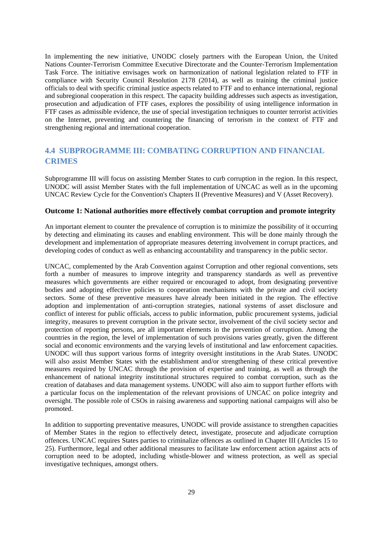In implementing the new initiative, UNODC closely partners with the European Union, the United Nations Counter-Terrorism Committee Executive Directorate and the Counter-Terrorism Implementation Task Force. The initiative envisages work on harmonization of national legislation related to FTF in compliance with Security Council Resolution 2178 (2014), as well as training the criminal justice officials to deal with specific criminal justice aspects related to FTF and to enhance international, regional and subregional cooperation in this respect. The capacity building addresses such aspects as investigation, prosecution and adjudication of FTF cases, explores the possibility of using intelligence information in FTF cases as admissible evidence, the use of special investigation techniques to counter terrorist activities on the Internet, preventing and countering the financing of terrorism in the context of FTF and strengthening regional and international cooperation.

# **4.4 SUBPROGRAMME III: COMBATING CORRUPTION AND FINANCIAL CRIMES**

Subprogramme III will focus on assisting Member States to curb corruption in the region. In this respect, UNODC will assist Member States with the full implementation of UNCAC as well as in the upcoming UNCAC Review Cycle for the Convention's Chapters II (Preventive Measures) and V (Asset Recovery).

#### **Outcome 1: National authorities more effectively combat corruption and promote integrity**

An important element to counter the prevalence of corruption is to minimize the possibility of it occurring by detecting and eliminating its causes and enabling environment. This will be done mainly through the development and implementation of appropriate measures deterring involvement in corrupt practices, and developing codes of conduct as well as enhancing accountability and transparency in the public sector.

UNCAC, complemented by the Arab Convention against Corruption and other regional conventions, sets forth a number of measures to improve integrity and transparency standards as well as preventive measures which governments are either required or encouraged to adopt, from designating preventive bodies and adopting effective policies to cooperation mechanisms with the private and civil society sectors. Some of these preventive measures have already been initiated in the region. The effective adoption and implementation of anti-corruption strategies, national systems of asset disclosure and conflict of interest for public officials, access to public information, public procurement systems, judicial integrity, measures to prevent corruption in the private sector, involvement of the civil society sector and protection of reporting persons, are all important elements in the prevention of corruption. Among the countries in the region, the level of implementation of such provisions varies greatly, given the different social and economic environments and the varying levels of institutional and law enforcement capacities. UNODC will thus support various forms of integrity oversight institutions in the Arab States. UNODC will also assist Member States with the establishment and/or strengthening of these critical preventive measures required by UNCAC through the provision of expertise and training, as well as through the enhancement of national integrity institutional structures required to combat corruption, such as the creation of databases and data management systems. UNODC will also aim to support further efforts with a particular focus on the implementation of the relevant provisions of UNCAC on police integrity and oversight. The possible role of CSOs in raising awareness and supporting national campaigns will also be promoted.

In addition to supporting preventative measures, UNODC will provide assistance to strengthen capacities of Member States in the region to effectively detect, investigate, prosecute and adjudicate corruption offences. UNCAC requires States parties to criminalize offences as outlined in Chapter III (Articles 15 to 25). Furthermore, legal and other additional measures to facilitate law enforcement action against acts of corruption need to be adopted, including whistle-blower and witness protection, as well as special investigative techniques, amongst others.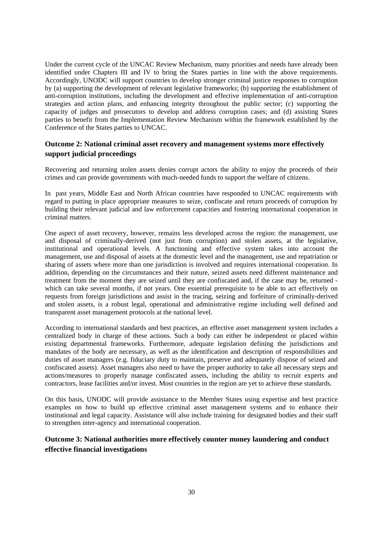Under the current cycle of the UNCAC Review Mechanism, many priorities and needs have already been identified under Chapters III and IV to bring the States parties in line with the above requirements. Accordingly, UNODC will support countries to develop stronger criminal justice responses to corruption by (a) supporting the development of relevant legislative frameworks; (b) supporting the establishment of anti-corruption institutions, including the development and effective implementation of anti-corruption strategies and action plans, and enhancing integrity throughout the public sector; (c) supporting the capacity of judges and prosecutors to develop and address corruption cases; and (d) assisting States parties to benefit from the Implementation Review Mechanism within the framework established by the Conference of the States parties to UNCAC.

# **Outcome 2: National criminal asset recovery and management systems more effectively support judicial proceedings**

Recovering and returning stolen assets denies corrupt actors the ability to enjoy the proceeds of their crimes and can provide governments with much-needed funds to support the welfare of citizens.

In past years, Middle East and North African countries have responded to UNCAC requirements with regard to putting in place appropriate measures to seize, confiscate and return proceeds of corruption by building their relevant judicial and law enforcement capacities and fostering international cooperation in criminal matters.

One aspect of asset recovery, however, remains less developed across the region: the management, use and disposal of criminally-derived (not just from corruption) and stolen assets, at the legislative, institutional and operational levels. A functioning and effective system takes into account the management, use and disposal of assets at the domestic level and the management, use and repatriation or sharing of assets where more than one jurisdiction is involved and requires international cooperation. In addition, depending on the circumstances and their nature, seized assets need different maintenance and treatment from the moment they are seized until they are confiscated and, if the case may be, returned which can take several months, if not years. One essential prerequisite to be able to act effectively on requests from foreign jurisdictions and assist in the tracing, seizing and forfeiture of criminally-derived and stolen assets, is a robust legal, operational and administrative regime including well defined and transparent asset management protocols at the national level.

According to international standards and best practices, an effective asset management system includes a centralized body in charge of these actions. Such a body can either be independent or placed within existing departmental frameworks. Furthermore, adequate legislation defining the jurisdictions and mandates of the body are necessary, as well as the identification and description of responsibilities and duties of asset managers (e.g. fiduciary duty to maintain, preserve and adequately dispose of seized and confiscated assets). Asset managers also need to have the proper authority to take all necessary steps and actions/measures to properly manage confiscated assets, including the ability to recruit experts and contractors, lease facilities and/or invest. Most countries in the region are yet to achieve these standards.

On this basis, UNODC will provide assistance to the Member States using expertise and best practice examples on how to build up effective criminal asset management systems and to enhance their institutional and legal capacity. Assistance will also include training for designated bodies and their staff to strengthen inter-agency and international cooperation.

# **Outcome 3: National authorities more effectively counter money laundering and conduct effective financial investigations**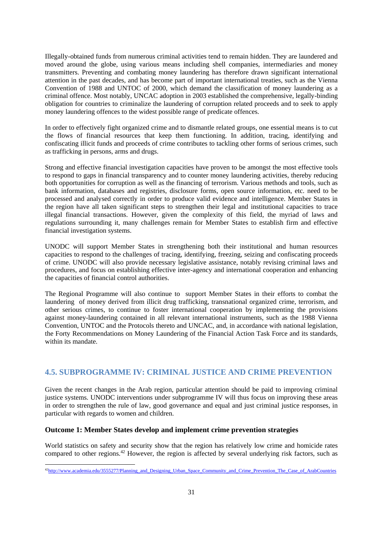Illegally-obtained funds from numerous criminal activities tend to remain hidden. They are laundered and moved around the globe, using various means including shell companies, intermediaries and money transmitters. Preventing and combating money laundering has therefore drawn significant international attention in the past decades, and has become part of important international treaties, such as the Vienna Convention of 1988 and UNTOC of 2000, which demand the classification of money laundering as a criminal offence. Most notably, UNCAC adoption in 2003 established the comprehensive, legally-binding obligation for countries to criminalize the laundering of corruption related proceeds and to seek to apply money laundering offences to the widest possible range of predicate offences.

In order to effectively fight organized crime and to dismantle related groups, one essential means is to cut the flows of financial resources that keep them functioning. In addition, tracing, identifying and confiscating illicit funds and proceeds of crime contributes to tackling other forms of serious crimes, such as trafficking in persons, arms and drugs.

Strong and effective financial investigation capacities have proven to be amongst the most effective tools to respond to gaps in financial transparency and to counter money laundering activities, thereby reducing both opportunities for corruption as well as the financing of terrorism. Various methods and tools, such as bank information, databases and registries, disclosure forms, open source information, etc. need to be processed and analysed correctly in order to produce valid evidence and intelligence. Member States in the region have all taken significant steps to strengthen their legal and institutional capacities to trace illegal financial transactions. However, given the complexity of this field, the myriad of laws and regulations surrounding it, many challenges remain for Member States to establish firm and effective financial investigation systems.

UNODC will support Member States in strengthening both their institutional and human resources capacities to respond to the challenges of tracing, identifying, freezing, seizing and confiscating proceeds of crime. UNODC will also provide necessary legislative assistance, notably revising criminal laws and procedures, and focus on establishing effective inter-agency and international cooperation and enhancing the capacities of financial control authorities.

The Regional Programme will also continue to support Member States in their efforts to combat the laundering of money derived from illicit drug trafficking, transnational organized crime, terrorism, and other serious crimes, to continue to foster international cooperation by implementing the provisions against money-laundering contained in all relevant international instruments, such as the 1988 Vienna Convention, UNTOC and the Protocols thereto and UNCAC, and, in accordance with national legislation, the Forty Recommendations on Money Laundering of the Financial Action Task Force and its standards, within its mandate.

# **4.5. SUBPROGRAMME IV: CRIMINAL JUSTICE AND CRIME PREVENTION**

Given the recent changes in the Arab region, particular attention should be paid to improving criminal justice systems. UNODC interventions under subprogramme IV will thus focus on improving these areas in order to strengthen the rule of law, good governance and equal and just criminal justice responses, in particular with regards to women and children.

## **Outcome 1: Member States develop and implement crime prevention strategies**

World statistics on safety and security show that the region has relatively low crime and homicide rates compared to other regions.42 However, the region is affected by several underlying risk factors, such as

 <sup>42</sup>http://www.academia.edu/3555277/Planning\_and\_Designing\_Urban\_Space\_Community\_and\_Crime\_Prevention\_The\_Case\_of\_ArabCountries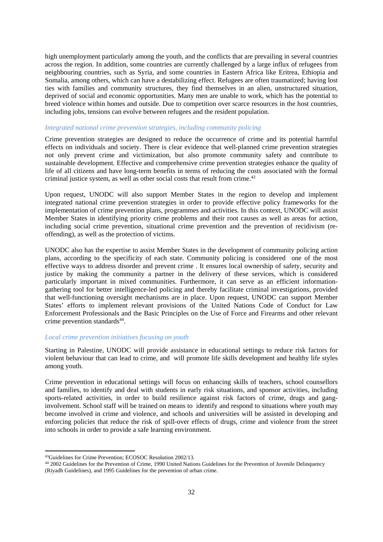high unemployment particularly among the youth, and the conflicts that are prevailing in several countries across the region. In addition, some countries are currently challenged by a large influx of refugees from neighbouring countries, such as Syria, and some countries in Eastern Africa like Eritrea, Ethiopia and Somalia, among others, which can have a destabilizing effect. Refugees are often traumatized; having lost ties with families and community structures, they find themselves in an alien, unstructured situation, deprived of social and economic opportunities. Many men are unable to work, which has the potential to breed violence within homes and outside. Due to competition over scarce resources in the host countries, including jobs, tensions can evolve between refugees and the resident population.

#### *Integrated national crime prevention strategies, including community policing*

Crime prevention strategies are designed to reduce the occurrence of crime and its potential harmful effects on individuals and society. There is clear evidence that well-planned crime prevention strategies not only prevent crime and victimization, but also promote community safety and contribute to sustainable development. Effective and comprehensive crime prevention strategies enhance the quality of life of all citizens and have long-term benefits in terms of reducing the costs associated with the formal criminal justice system, as well as other social costs that result from crime.<sup>43</sup>

Upon request, UNODC will also support Member States in the region to develop and implement integrated national crime prevention strategies in order to provide effective policy frameworks for the implementation of crime prevention plans, programmes and activities. In this context, UNODC will assist Member States in identifying priority crime problems and their root causes as well as areas for action, including social crime prevention, situational crime prevention and the prevention of recidivism (reoffending), as well as the protection of victims.

UNODC also has the expertise to assist Member States in the development of community policing action plans, according to the specificity of each state. Community policing is considered one of the most effective ways to address disorder and prevent crime . It ensures local ownership of safety, security and justice by making the community a partner in the delivery of these services, which is considered particularly important in mixed communities. Furthermore, it can serve as an efficient informationgathering tool for better intelligence-led policing and thereby facilitate criminal investigations, provided that well-functioning oversight mechanisms are in place. Upon request, UNODC can support Member States' efforts to implement relevant provisions of the United Nations Code of Conduct for Law Enforcement Professionals and the Basic Principles on the Use of Force and Firearms and other relevant crime prevention standards $44$ .

#### *Local crime prevention initiatives focusing on youth*

Starting in Palestine, UNODC will provide assistance in educational settings to reduce risk factors for violent behaviour that can lead to crime, and will promote life skills development and healthy life styles among youth.

Crime prevention in educational settings will focus on enhancing skills of teachers, school counsellors and families, to identify and deal with students in early risk situations, and sponsor activities, including sports-related activities, in order to build resilience against risk factors of crime, drugs and ganginvolvement. School staff will be trained on means to identify and respond to situations where youth may become involved in crime and violence, and schools and universities will be assisted in developing and enforcing policies that reduce the risk of spill-over effects of drugs, crime and violence from the street into schools in order to provide a safe learning environment.

<sup>43</sup>Guidelines for Crime Prevention; ECOSOC Resolution 2002/13.<br>44 2002 Guidelines for the Prevention of Crime, 1990 United Nations Guidelines for the Prevention of Juvenile Delinquency (Riyadh Guidelines), and 1995 Guidelines for the prevention of urban crime.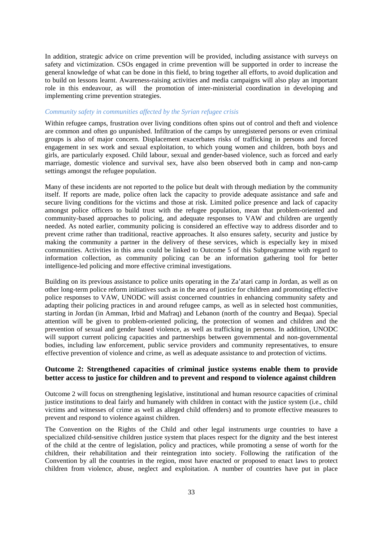In addition, strategic advice on crime prevention will be provided, including assistance with surveys on safety and victimization. CSOs engaged in crime prevention will be supported in order to increase the general knowledge of what can be done in this field, to bring together all efforts, to avoid duplication and to build on lessons learnt. Awareness-raising activities and media campaigns will also play an important role in this endeavour, as will the promotion of inter-ministerial coordination in developing and implementing crime prevention strategies.

#### *Community safety in communities affected by the Syrian refugee crisis*

Within refugee camps, frustration over living conditions often spins out of control and theft and violence are common and often go unpunished. Infiltration of the camps by unregistered persons or even criminal groups is also of major concern. Displacement exacerbates risks of trafficking in persons and forced engagement in sex work and sexual exploitation, to which young women and children, both boys and girls, are particularly exposed. Child labour, sexual and gender-based violence, such as forced and early marriage, domestic violence and survival sex, have also been observed both in camp and non-camp settings amongst the refugee population.

Many of these incidents are not reported to the police but dealt with through mediation by the community itself. If reports are made, police often lack the capacity to provide adequate assistance and safe and secure living conditions for the victims and those at risk. Limited police presence and lack of capacity amongst police officers to build trust with the refugee population, mean that problem-oriented and community-based approaches to policing, and adequate responses to VAW and children are urgently needed. As noted earlier, community policing is considered an effective way to address disorder and to prevent crime rather than traditional, reactive approaches. It also ensures safety, security and justice by making the community a partner in the delivery of these services, which is especially key in mixed communities. Activities in this area could be linked to Outcome 5 of this Subprogramme with regard to information collection, as community policing can be an information gathering tool for better intelligence-led policing and more effective criminal investigations.

Building on its previous assistance to police units operating in the Za'atari camp in Jordan, as well as on other long-term police reform initiatives such as in the area of justice for children and promoting effective police responses to VAW, UNODC will assist concerned countries in enhancing community safety and adapting their policing practices in and around refugee camps, as well as in selected host communities, starting in Jordan (in Amman, Irbid and Mafraq) and Lebanon (north of the country and Beqaa). Special attention will be given to problem-oriented policing, the protection of women and children and the prevention of sexual and gender based violence, as well as trafficking in persons. In addition, UNODC will support current policing capacities and partnerships between governmental and non-governmental bodies, including law enforcement, public service providers and community representatives, to ensure effective prevention of violence and crime, as well as adequate assistance to and protection of victims.

# **Outcome 2: Strengthened capacities of criminal justice systems enable them to provide better access to justice for children and to prevent and respond to violence against children**

Outcome 2 will focus on strengthening legislative, institutional and human resource capacities of criminal justice institutions to deal fairly and humanely with children in contact with the justice system (i.e., child victims and witnesses of crime as well as alleged child offenders) and to promote effective measures to prevent and respond to violence against children.

The Convention on the Rights of the Child and other legal instruments urge countries to have a specialized child-sensitive children justice system that places respect for the dignity and the best interest of the child at the centre of legislation, policy and practices, while promoting a sense of worth for the children, their rehabilitation and their reintegration into society. Following the ratification of the Convention by all the countries in the region, most have enacted or proposed to enact laws to protect children from violence, abuse, neglect and exploitation. A number of countries have put in place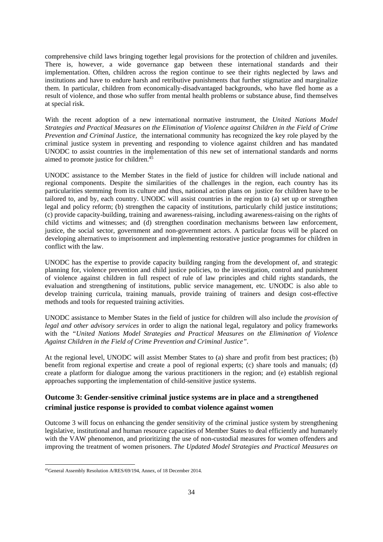comprehensive child laws bringing together legal provisions for the protection of children and juveniles. There is, however, a wide governance gap between these international standards and their implementation. Often, children across the region continue to see their rights neglected by laws and institutions and have to endure harsh and retributive punishments that further stigmatize and marginalize them. In particular, children from economically-disadvantaged backgrounds, who have fled home as a result of violence, and those who suffer from mental health problems or substance abuse, find themselves at special risk.

With the recent adoption of a new international normative instrument, the *United Nations Model Strategies and Practical Measures on the Elimination of Violence against Children in the Field of Crime Prevention and Criminal Justice,* the international community has recognized the key role played by the criminal justice system in preventing and responding to violence against children and has mandated UNODC to assist countries in the implementation of this new set of international standards and norms aimed to promote justice for children.<sup>45</sup>

UNODC assistance to the Member States in the field of justice for children will include national and regional components. Despite the similarities of the challenges in the region, each country has its particularities stemming from its culture and thus, national action plans on justice for children have to be tailored to, and by, each country. UNODC will assist countries in the region to (a) set up or strengthen legal and policy reform; (b) strengthen the capacity of institutions, particularly child justice institutions; (c) provide capacity-building, training and awareness-raising, including awareness-raising on the rights of child victims and witnesses; and (d) strengthen coordination mechanisms between law enforcement, justice, the social sector, government and non-government actors. A particular focus will be placed on developing alternatives to imprisonment and implementing restorative justice programmes for children in conflict with the law.

UNODC has the expertise to provide capacity building ranging from the development of, and strategic planning for, violence prevention and child justice policies, to the investigation, control and punishment of violence against children in full respect of rule of law principles and child rights standards, the evaluation and strengthening of institutions, public service management, etc. UNODC is also able to develop training curricula, training manuals, provide training of trainers and design cost-effective methods and tools for requested training activities.

UNODC assistance to Member States in the field of justice for children will also include the *provision of legal and other advisory services* in order to align the national legal, regulatory and policy frameworks with the *"United Nations Model Strategies and Practical Measures on the Elimination of Violence Against Children in the Field of Crime Prevention and Criminal Justice"*.

At the regional level, UNODC will assist Member States to (a) share and profit from best practices; (b) benefit from regional expertise and create a pool of regional experts; (c) share tools and manuals; (d) create a platform for dialogue among the various practitioners in the region; and (e) establish regional approaches supporting the implementation of child-sensitive justice systems.

# **Outcome 3: Gender-sensitive criminal justice systems are in place and a strengthened criminal justice response is provided to combat violence against women**

Outcome 3 will focus on enhancing the gender sensitivity of the criminal justice system by strengthening legislative, institutional and human resource capacities of Member States to deal efficiently and humanely with the VAW phenomenon, and prioritizing the use of non-custodial measures for women offenders and improving the treatment of women prisoners. *The Updated Model Strategies and Practical Measures on* 

<sup>&</sup>lt;sup>45</sup>General Assembly Resolution A/RES/69/194, Annex, of 18 December 2014.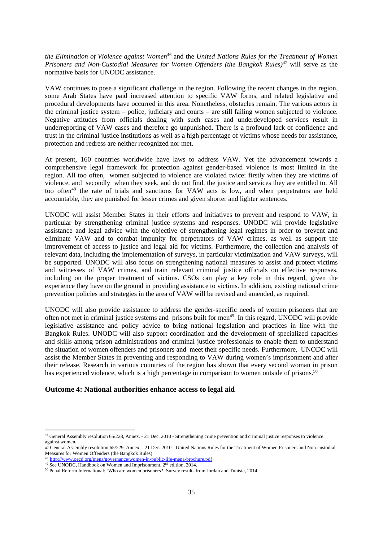*the Elimination of Violence against Women*46 and the *United Nations Rules for the Treatment of Women Prisoners and Non-Custodial Measures for Women Offenders (the Bangkok Rules)*47 will serve as the normative basis for UNODC assistance.

VAW continues to pose a significant challenge in the region. Following the recent changes in the region, some Arab States have paid increased attention to specific VAW forms, and related legislative and procedural developments have occurred in this area. Nonetheless, obstacles remain. The various actors in the criminal justice system – police, judiciary and courts – are still failing women subjected to violence. Negative attitudes from officials dealing with such cases and underdeveloped services result in underreporting of VAW cases and therefore go unpunished. There is a profound lack of confidence and trust in the criminal justice institutions as well as a high percentage of victims whose needs for assistance, protection and redress are neither recognized nor met.

At present, 160 countries worldwide have laws to address VAW. Yet the advancement towards a comprehensive legal framework for protection against gender-based violence is most limited in the region. All too often, women subjected to violence are violated twice: firstly when they are victims of violence, and secondly when they seek, and do not find, the justice and services they are entitled to. All too often<sup>48</sup> the rate of trials and sanctions for VAW acts is low, and when perpetrators are held accountable, they are punished for lesser crimes and given shorter and lighter sentences.

UNODC will assist Member States in their efforts and initiatives to prevent and respond to VAW, in particular by strengthening criminal justice systems and responses. UNODC will provide legislative assistance and legal advice with the objective of strengthening legal regimes in order to prevent and eliminate VAW and to combat impunity for perpetrators of VAW crimes, as well as support the improvement of access to justice and legal aid for victims. Furthermore, the collection and analysis of relevant data, including the implementation of surveys, in particular victimization and VAW surveys, will be supported. UNODC will also focus on strengthening national measures to assist and protect victims and witnesses of VAW crimes, and train relevant criminal justice officials on effective responses, including on the proper treatment of victims. CSOs can play a key role in this regard, given the experience they have on the ground in providing assistance to victims. In addition, existing national crime prevention policies and strategies in the area of VAW will be revised and amended, as required.

UNODC will also provide assistance to address the gender-specific needs of women prisoners that are often not met in criminal justice systems and prisons built for men<sup>49</sup>. In this regard, UNODC will provide legislative assistance and policy advice to bring national legislation and practices in line with the Bangkok Rules. UNODC will also support coordination and the development of specialized capacities and skills among prison administrations and criminal justice professionals to enable them to understand the situation of women offenders and prisoners and meet their specific needs. Furthermore, UNODC will assist the Member States in preventing and responding to VAW during women's imprisonment and after their release. Research in various countries of the region has shown that every second woman in prison has experienced violence, which is a high percentage in comparison to women outside of prisons.<sup>50</sup>

## **Outcome 4: National authorities enhance access to legal aid**

 $46$  General Assembly resolution  $65/228$ , Annex. - 21 Dec. 2010 - Strengthening crime prevention and criminal justice responses to violence against women.

<sup>47</sup> General Assembly resolution 65/229, Annex. - 21 Dec. 2010 - United Nations Rules for the Treatment of Women Prisoners and Non-custodial Measures for Women Offenders (the Bangkok Rules)

<sup>&</sup>lt;sup>48</sup> http://www.oecd.org/mena/governance/women-in-public-life-mena-brochure.pdf <sup>49</sup> See UNODC. Handbook on Women and Imprisonment,  $2<sup>nd</sup>$  edition, 2014.

<sup>&</sup>lt;sup>50</sup> Penal Reform International: 'Who are women prisoners?' Survey results from Jordan and Tunisia, 2014.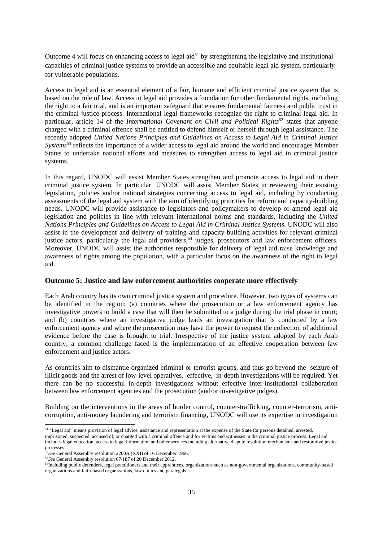Outcome 4 will focus on enhancing access to legal aid $5<sup>1</sup>$  by strengthening the legislative and institutional capacities of criminal justice systems to provide an accessible and equitable legal aid system, particularly for vulnerable populations.

Access to legal aid is an essential element of a fair, humane and efficient criminal justice system that is based on the rule of law. Access to legal aid provides a foundation for other fundamental rights, including the right to a fair trial, and is an important safeguard that ensures fundamental fairness and public trust in the criminal justice process. International legal frameworks recognize the right to criminal legal aid. In particular, article 14 of the *International Covenant on Civil and Political Rights*<sup>52</sup> states that anyone charged with a criminal offence shall be entitled to defend himself or herself through legal assistance. The recently adopted *United Nations Principles and Guidelines on Access to Legal Aid in Criminal Justice Systems53* reflects the importance of a wider access to legal aid around the world and encourages Member States to undertake national efforts and measures to strengthen access to legal aid in criminal justice systems.

In this regard, UNODC will assist Member States strengthen and promote access to legal aid in their criminal justice system. In particular, UNODC will assist Member States in reviewing their existing legislation, policies and/or national strategies concerning access to legal aid, including by conducting assessments of the legal aid system with the aim of identifying priorities for reform and capacity-building needs. UNODC will provide assistance to legislators and policymakers to develop or amend legal aid legislation and policies in line with relevant international norms and standards, including the *United Nations Principles and Guidelines on Access to Legal Aid in Criminal Justice Systems*. UNODC will also assist in the development and delivery of training and capacity-building activities for relevant criminal justice actors, particularly the legal aid providers,<sup>54</sup> judges, prosecutors and law enforcement officers. Moreover, UNODC will assist the authorities responsible for delivery of legal aid raise knowledge and awareness of rights among the population, with a particular focus on the awareness of the right to legal aid.

#### **Outcome 5: Justice and law enforcement authorities cooperate more effectively**

Each Arab country has its own criminal justice system and procedure. However, two types of systems can be identified in the region: (a) countries where the prosecution or a law enforcement agency has investigative powers to build a case that will then be submitted to a judge during the trial phase in court; and (b) countries where an investigative judge leads an investigation that is conducted by a law enforcement agency and where the prosecution may have the power to request the collection of additional evidence before the case is brought to trial. Irrespective of the justice system adopted by each Arab country, a common challenge faced is the implementation of an effective cooperation between law enforcement and justice actors.

As countries aim to dismantle organized criminal or terrorist groups, and thus go beyond the seizure of illicit goods and the arrest of low-level operatives, effective, in-depth investigations will be required. Yet there can be no successful in-depth investigations without effective inter-institutional collaboration between law enforcement agencies and the prosecution (and/or investigative judges).

Building on the interventions in the areas of border control, counter-trafficking, counter-terrorism, anticorruption, anti-money laundering and terrorism financing, UNODC will use its expertise in investigation

<sup>&</sup>lt;sup>51</sup> "Legal aid" means provision of legal advice, assistance and representation at the expense of the State for persons detained, arrested,

imprisoned, suspected, accused of, or charged with a criminal offence and for victims and witnesses in the criminal justice process. Legal aid includes legal education, access to legal information and other services including alternative dispute resolution mechanisms and restorative justice processes.  $\frac{525}{6}$  General Assembly resolution 2200A (XXI) of 16 December 1966.

 $53$ See General Assembly resolution 67/187 of 20 December 2012.<br> $54$ Including public defenders, legal practitioners and their apprentices, organizations such as non-governmental organizations, community-based organizations and faith-based organizations, law clinics and paralegals.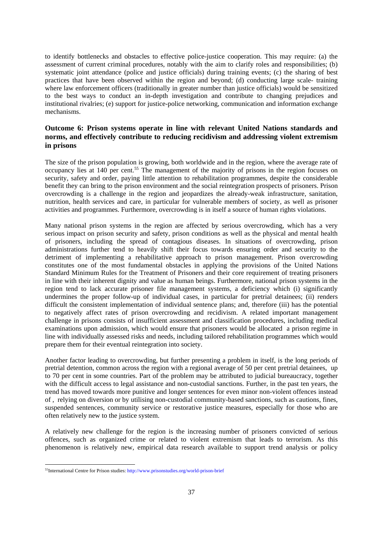to identify bottlenecks and obstacles to effective police-justice cooperation. This may require: (a) the assessment of current criminal procedures, notably with the aim to clarify roles and responsibilities; (b) systematic joint attendance (police and justice officials) during training events; (c) the sharing of best practices that have been observed within the region and beyond; (d) conducting large scale- training where law enforcement officers (traditionally in greater number than justice officials) would be sensitized to the best ways to conduct an in-depth investigation and contribute to changing prejudices and institutional rivalries; (e) support for justice-police networking, communication and information exchange mechanisms.

## **Outcome 6: Prison systems operate in line with relevant United Nations standards and norms, and effectively contribute to reducing recidivism and addressing violent extremism in prisons**

The size of the prison population is growing, both worldwide and in the region, where the average rate of occupancy lies at 140 per cent.<sup>55</sup> The management of the majority of prisons in the region focuses on security, safety and order, paying little attention to rehabilitation programmes, despite the considerable benefit they can bring to the prison environment and the social reintegration prospects of prisoners. Prison overcrowding is a challenge in the region and jeopardizes the already-weak infrastructure, sanitation, nutrition, health services and care, in particular for vulnerable members of society, as well as prisoner activities and programmes. Furthermore, overcrowding is in itself a source of human rights violations.

Many national prison systems in the region are affected by serious overcrowding, which has a very serious impact on prison security and safety, prison conditions as well as the physical and mental health of prisoners, including the spread of contagious diseases. In situations of overcrowding, prison administrations further tend to heavily shift their focus towards ensuring order and security to the detriment of implementing a rehabilitative approach to prison management. Prison overcrowding constitutes one of the most fundamental obstacles in applying the provisions of the United Nations Standard Minimum Rules for the Treatment of Prisoners and their core requirement of treating prisoners in line with their inherent dignity and value as human beings. Furthermore, national prison systems in the region tend to lack accurate prisoner file management systems, a deficiency which (i) significantly undermines the proper follow-up of individual cases, in particular for pretrial detainees; (ii) renders difficult the consistent implementation of individual sentence plans; and, therefore (iii) has the potential to negatively affect rates of prison overcrowding and recidivism. A related important management challenge in prisons consists of insufficient assessment and classification procedures, including medical examinations upon admission, which would ensure that prisoners would be allocated a prison regime in line with individually assessed risks and needs, including tailored rehabilitation programmes which would prepare them for their eventual reintegration into society.

Another factor leading to overcrowding, but further presenting a problem in itself, is the long periods of pretrial detention, common across the region with a regional average of 50 per cent pretrial detainees, up to 70 per cent in some countries. Part of the problem may be attributed to judicial bureaucracy, together with the difficult access to legal assistance and non-custodial sanctions. Further, in the past ten years, the trend has moved towards more punitive and longer sentences for even minor non-violent offences instead of , relying on diversion or by utilising non-custodial community-based sanctions, such as cautions, fines, suspended sentences, community service or restorative justice measures, especially for those who are often relatively new to the justice system.

A relatively new challenge for the region is the increasing number of prisoners convicted of serious offences, such as organized crime or related to violent extremism that leads to terrorism. As this phenomenon is relatively new, empirical data research available to support trend analysis or policy

<sup>55</sup>International Centre for Prison studies: http://www.prisonstudies.org/world-prison-brief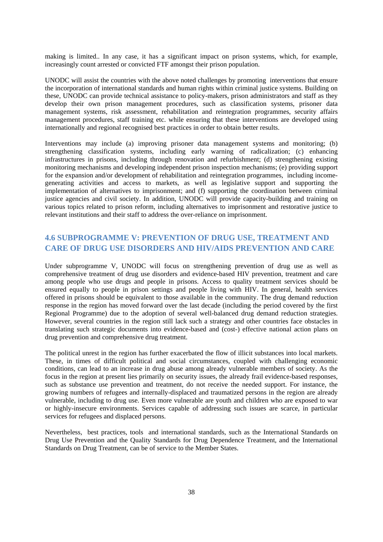making is limited.. In any case, it has a significant impact on prison systems, which, for example, increasingly count arrested or convicted FTF amongst their prison population.

UNODC will assist the countries with the above noted challenges by promoting interventions that ensure the incorporation of international standards and human rights within criminal justice systems. Building on these, UNODC can provide technical assistance to policy-makers, prison administrators and staff as they develop their own prison management procedures, such as classification systems, prisoner data management systems, risk assessment, rehabilitation and reintegration programmes, security affairs management procedures, staff training etc. while ensuring that these interventions are developed using internationally and regional recognised best practices in order to obtain better results.

Interventions may include (a) improving prisoner data management systems and monitoring; (b) strengthening classification systems, including early warning of radicalization; (c) enhancing infrastructures in prisons, including through renovation and refurbishment; (d) strengthening existing monitoring mechanisms and developing independent prison inspection mechanisms; (e) providing support for the expansion and/or development of rehabilitation and reintegration programmes, including incomegenerating activities and access to markets, as well as legislative support and supporting the implementation of alternatives to imprisonment; and (f) supporting the coordination between criminal justice agencies and civil society. In addition, UNODC will provide capacity-building and training on various topics related to prison reform, including alternatives to imprisonment and restorative justice to relevant institutions and their staff to address the over-reliance on imprisonment.

# **4.6 SUBPROGRAMME V: PREVENTION OF DRUG USE, TREATMENT AND CARE OF DRUG USE DISORDERS AND HIV/AIDS PREVENTION AND CARE**

Under subprogramme V, UNODC will focus on strengthening prevention of drug use as well as comprehensive treatment of drug use disorders and evidence-based HIV prevention, treatment and care among people who use drugs and people in prisons. Access to quality treatment services should be ensured equally to people in prison settings and people living with HIV. In general, health services offered in prisons should be equivalent to those available in the community. The drug demand reduction response in the region has moved forward over the last decade (including the period covered by the first Regional Programme) due to the adoption of several well-balanced drug demand reduction strategies. However, several countries in the region still lack such a strategy and other countries face obstacles in translating such strategic documents into evidence-based and (cost-) effective national action plans on drug prevention and comprehensive drug treatment.

The political unrest in the region has further exacerbated the flow of illicit substances into local markets. These, in times of difficult political and social circumstances, coupled with challenging economic conditions, can lead to an increase in drug abuse among already vulnerable members of society. As the focus in the region at present lies primarily on security issues, the already frail evidence-based responses, such as substance use prevention and treatment, do not receive the needed support. For instance, the growing numbers of refugees and internally-displaced and traumatized persons in the region are already vulnerable, including to drug use. Even more vulnerable are youth and children who are exposed to war or highly-insecure environments. Services capable of addressing such issues are scarce, in particular services for refugees and displaced persons.

Nevertheless, best practices, tools and international standards, such as the International Standards on Drug Use Prevention and the Quality Standards for Drug Dependence Treatment, and the International Standards on Drug Treatment, can be of service to the Member States.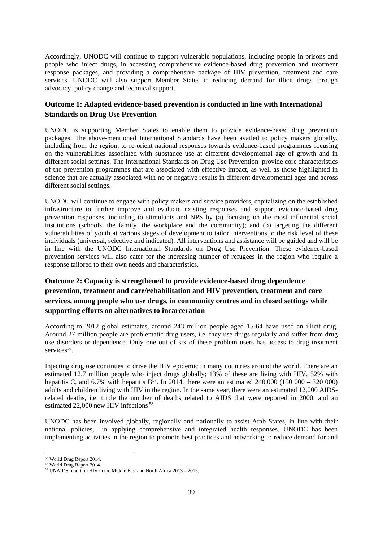Accordingly, UNODC will continue to support vulnerable populations, including people in prisons and people who inject drugs, in accessing comprehensive evidence-based drug prevention and treatment response packages, and providing a comprehensive package of HIV prevention, treatment and care services. UNODC will also support Member States in reducing demand for illicit drugs through advocacy, policy change and technical support.

# **Outcome 1: Adapted evidence-based prevention is conducted in line with International Standards on Drug Use Prevention**

UNODC is supporting Member States to enable them to provide evidence-based drug prevention packages. The above-mentioned International Standards have been availed to policy makers globally, including from the region, to re-orient national responses towards evidence-based programmes focusing on the vulnerabilities associated with substance use at different developmental age of growth and in different social settings. The International Standards on Drug Use Prevention provide core characteristics of the prevention programmes that are associated with effective impact, as well as those highlighted in science that are actually associated with no or negative results in different developmental ages and across different social settings.

UNODC will continue to engage with policy makers and service providers, capitalizing on the established infrastructure to further improve and evaluate existing responses and support evidence-based drug prevention responses, including to stimulants and NPS by (a) focusing on the most influential social institutions (schools, the family, the workplace and the community); and (b) targeting the different vulnerabilities of youth at various stages of development to tailor interventions to the risk level of these individuals (universal, selective and indicated). All interventions and assistance will be guided and will be in line with the UNODC International Standards on Drug Use Prevention. These evidence-based prevention services will also cater for the increasing number of refugees in the region who require a response tailored to their own needs and characteristics.

# **Outcome 2: Capacity is strengthened to provide evidence-based drug dependence prevention, treatment and care/rehabilitation and HIV prevention, treatment and care services, among people who use drugs, in community centres and in closed settings while supporting efforts on alternatives to incarceration**

According to 2012 global estimates, around 243 million people aged 15-64 have used an illicit drug. Around 27 million people are problematic drug users, i.e. they use drugs regularly and suffer from drug use disorders or dependence. Only one out of six of these problem users has access to drug treatment  $s$ ervices<sup>56</sup>.

Injecting drug use continues to drive the HIV epidemic in many countries around the world. There are an estimated 12.7 million people who inject drugs globally; 13% of these are living with HIV, 52% with hepatitis C, and 6.7% with hepatitis  $B^{57}$ . In 2014, there were an estimated 240,000 (150 000 – 320 000) adults and children living with HIV in the region. In the same year, there were an estimated 12,000 AIDSrelated deaths, i.e. triple the number of deaths related to AIDS that were reported in 2000, and an estimated 22,000 new HIV infections.<sup>58</sup>

UNODC has been involved globally, regionally and nationally to assist Arab States, in line with their national policies, in applying comprehensive and integrated health responses. UNODC has been implementing activities in the region to promote best practices and networking to reduce demand for and

<sup>56</sup> World Drug Report 2014.

<sup>57</sup> World Drug Report 2014.

<sup>&</sup>lt;sup>58</sup> UNAIDS report on HIV in the Middle East and North Africa 2013 – 2015.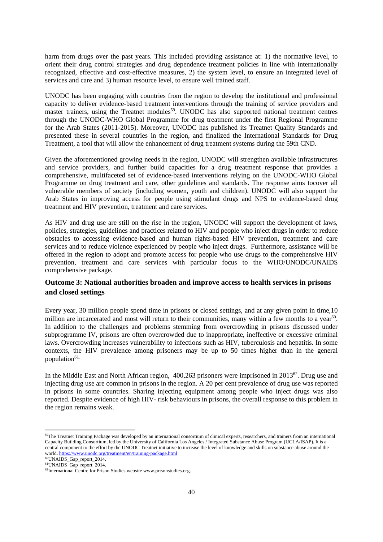harm from drugs over the past years. This included providing assistance at: 1) the normative level, to orient their drug control strategies and drug dependence treatment policies in line with internationally recognized, effective and cost-effective measures, 2) the system level, to ensure an integrated level of services and care and 3) human resource level, to ensure well trained staff.

UNODC has been engaging with countries from the region to develop the institutional and professional capacity to deliver evidence-based treatment interventions through the training of service providers and master trainers, using the Treatnet modules<sup>59</sup>. UNODC has also supported national treatment centres through the UNODC-WHO Global Programme for drug treatment under the first Regional Programme for the Arab States (2011-2015). Moreover, UNODC has published its Treatnet Quality Standards and presented these in several countries in the region, and finalized the International Standards for Drug Treatment, a tool that will allow the enhancement of drug treatment systems during the 59th CND.

Given the aforementioned growing needs in the region, UNODC will strengthen available infrastructures and service providers, and further build capacities for a drug treatment response that provides a comprehensive, multifaceted set of evidence-based interventions relying on the UNODC-WHO Global Programme on drug treatment and care, other guidelines and standards. The response aims tocover all vulnerable members of society (including women, youth and children). UNODC will also support the Arab States in improving access for people using stimulant drugs and NPS to evidence-based drug treatment and HIV prevention, treatment and care services.

As HIV and drug use are still on the rise in the region, UNODC will support the development of laws, policies, strategies, guidelines and practices related to HIV and people who inject drugs in order to reduce obstacles to accessing evidence-based and human rights-based HIV prevention, treatment and care services and to reduce violence experienced by people who inject drugs. Furthermore, assistance will be offered in the region to adopt and promote access for people who use drugs to the comprehensive HIV prevention, treatment and care services with particular focus to the WHO/UNODC/UNAIDS comprehensive package.

# **Outcome 3: National authorities broaden and improve access to health services in prisons and closed settings**

Every year, 30 million people spend time in prisons or closed settings, and at any given point in time,10 million are incarcerated and most will return to their communities, many within a few months to a year<sup>60</sup>. In addition to the challenges and problems stemming from overcrowding in prisons discussed under subprogramme IV, prisons are often overcrowded due to inappropriate, ineffective or excessive criminal laws. Overcrowding increases vulnerability to infections such as HIV, tuberculosis and hepatitis. In some contexts, the HIV prevalence among prisoners may be up to 50 times higher than in the general population<sup>61.</sup>

In the Middle East and North African region, 400,263 prisoners were imprisoned in 2013<sup>62</sup>. Drug use and injecting drug use are common in prisons in the region. A 20 per cent prevalence of drug use was reported in prisons in some countries. Sharing injecting equipment among people who inject drugs was also reported. Despite evidence of high HIV- risk behaviours in prisons, the overall response to this problem in the region remains weak.

 $59$ The Treatnet Training Package was developed by an international consortium of clinical experts, researchers, and trainers from an international Capacity Building Consortium, led by the University of California Los Angeles / Integrated Substance Abuse Program (UCLA/ISAP). It is a central component to the effort by the UNODC Treatnet initiative to increase the level of knowledge and skills on substance abuse around the world. https://www.unodc.org/treatment/en/training-package.html 60UNAIDS\_Gap\_report\_2014.

<sup>61</sup>UNAIDS\_Gap\_report\_2014.

<sup>&</sup>lt;sup>62</sup>International Centre for Prison Studies website www.prisonstudies.org.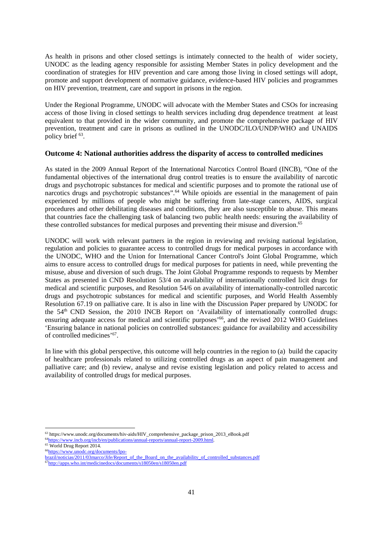As health in prisons and other closed settings is intimately connected to the health of wider society, UNODC as the leading agency responsible for assisting Member States in policy development and the coordination of strategies for HIV prevention and care among those living in closed settings will adopt, promote and support development of normative guidance, evidence-based HIV policies and programmes on HIV prevention, treatment, care and support in prisons in the region.

Under the Regional Programme, UNODC will advocate with the Member States and CSOs for increasing access of those living in closed settings to health services including drug dependence treatment at least equivalent to that provided in the wider community, and promote the comprehensive package of HIV prevention, treatment and care in prisons as outlined in the UNODC/ILO/UNDP/WHO and UNAIDS policy brief 63.

#### **Outcome 4: National authorities address the disparity of access to controlled medicines**

As stated in the 2009 Annual Report of the International Narcotics Control Board (INCB), "One of the fundamental objectives of the international drug control treaties is to ensure the availability of narcotic drugs and psychotropic substances for medical and scientific purposes and to promote the rational use of narcotics drugs and psychotropic substances".<sup>64</sup> While opioids are essential in the management of pain experienced by millions of people who might be suffering from late-stage cancers, AIDS, surgical procedures and other debilitating diseases and conditions, they are also susceptible to abuse. This means that countries face the challenging task of balancing two public health needs: ensuring the availability of these controlled substances for medical purposes and preventing their misuse and diversion.<sup>65</sup>

UNODC will work with relevant partners in the region in reviewing and revising national legislation, regulation and policies to guarantee access to controlled drugs for medical purposes in accordance with the UNODC, WHO and the Union for International Cancer Control's Joint Global Programme, which aims to ensure access to controlled drugs for medical purposes for patients in need, while preventing the misuse, abuse and diversion of such drugs. The Joint Global Programme responds to requests by Member States as presented in CND Resolution 53/4 on availability of internationally controlled licit drugs for medical and scientific purposes, and Resolution 54/6 on availability of internationally-controlled narcotic drugs and psychotropic substances for medical and scientific purposes, and World Health Assembly Resolution 67.19 on palliative care. It is also in line with the Discussion Paper prepared by UNODC for the 54<sup>th</sup> CND Session, the 2010 INCB Report on 'Availability of internationally controlled drugs: ensuring adequate access for medical and scientific purposes'<sup>66</sup>, and the revised 2012 WHO Guidelines 'Ensuring balance in national policies on controlled substances: guidance for availability and accessibility of controlled medicines'67.

In line with this global perspective, this outcome will help countries in the region to (a) build the capacity of healthcare professionals related to utilizing controlled drugs as an aspect of pain management and palliative care; and (b) review, analyse and revise existing legislation and policy related to access and availability of controlled drugs for medical purposes.

<sup>&</sup>lt;sup>63</sup> https://www.unodc.org/documents/hiv-aids/HIV\_comprehensive\_package\_prison\_2013\_eBook.pdf  $64$ https://www.incb.org/incb/en/publications/annual-reports/annual-report-2009.html.  $65$  World Drug Report 2014.

<sup>66</sup>https://www.unodc.org/documents/lpo-

brazil/noticias/2011/03marco/Jife/Report\_of\_the\_Board\_on\_the\_availability\_of\_controlled\_substances.pdf 67http://apps.who.int/medicinedocs/documents/s18050en/s18050en.pdf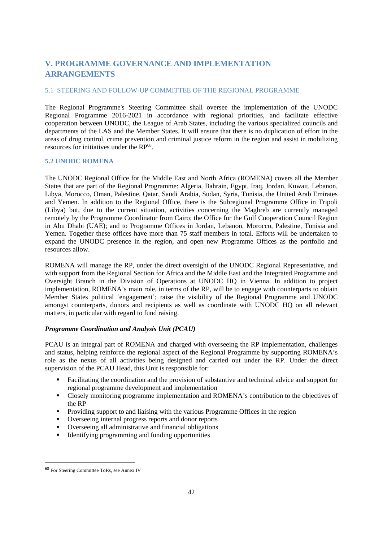# **V. PROGRAMME GOVERNANCE AND IMPLEMENTATION ARRANGEMENTS**

### 5.1 STEERING AND FOLLOW-UP COMMITTEE OF THE REGIONAL PROGRAMME

The Regional Programme's Steering Committee shall oversee the implementation of the UNODC Regional Programme 2016-2021 in accordance with regional priorities, and facilitate effective cooperation between UNODC, the League of Arab States, including the various specialized councils and departments of the LAS and the Member States. It will ensure that there is no duplication of effort in the areas of drug control, crime prevention and criminal justice reform in the region and assist in mobilizing resources for initiatives under the RP<sup>68</sup>.

#### **5.2 UNODC ROMENA**

The UNODC Regional Office for the Middle East and North Africa (ROMENA) covers all the Member States that are part of the Regional Programme: Algeria, Bahrain, Egypt, Iraq, Jordan, Kuwait, Lebanon, Libya, Morocco, Oman, Palestine, Qatar, Saudi Arabia, Sudan, Syria, Tunisia, the United Arab Emirates and Yemen. In addition to the Regional Office, there is the Subregional Programme Office in Tripoli (Libya) but, due to the current situation, activities concerning the Maghreb are currently managed remotely by the Programme Coordinator from Cairo; the Office for the Gulf Cooperation Council Region in Abu Dhabi (UAE); and to Programme Offices in Jordan, Lebanon, Morocco, Palestine, Tunisia and Yemen. Together these offices have more than 75 staff members in total. Efforts will be undertaken to expand the UNODC presence in the region, and open new Programme Offices as the portfolio and resources allow.

ROMENA will manage the RP, under the direct oversight of the UNODC Regional Representative, and with support from the Regional Section for Africa and the Middle East and the Integrated Programme and Oversight Branch in the Division of Operations at UNODC HQ in Vienna. In addition to project implementation, ROMENA's main role, in terms of the RP, will be to engage with counterparts to obtain Member States political 'engagement'; raise the visibility of the Regional Programme and UNODC amongst counterparts, donors and recipients as well as coordinate with UNODC HQ on all relevant matters, in particular with regard to fund raising.

#### *Programme Coordination and Analysis Unit (PCAU)*

PCAU is an integral part of ROMENA and charged with overseeing the RP implementation, challenges and status, helping reinforce the regional aspect of the Regional Programme by supporting ROMENA's role as the nexus of all activities being designed and carried out under the RP. Under the direct supervision of the PCAU Head, this Unit is responsible for:

- Facilitating the coordination and the provision of substantive and technical advice and support for regional programme development and implementation
- Closely monitoring programme implementation and ROMENA's contribution to the objectives of the RP
- **Providing support to and liaising with the various Programme Offices in the region**
- Overseeing internal progress reports and donor reports
- Overseeing all administrative and financial obligations
- Identifying programming and funding opportunities

 <sup>68</sup> For Steering Committee ToRs, see Annex IV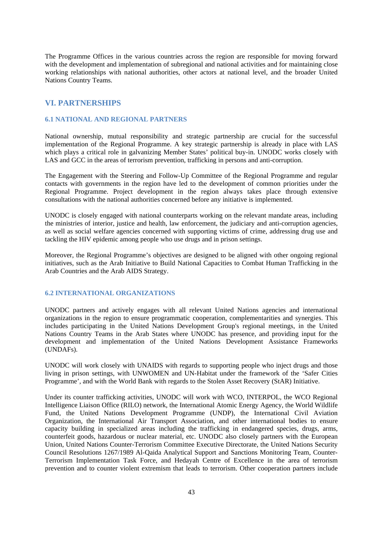The Programme Offices in the various countries across the region are responsible for moving forward with the development and implementation of subregional and national activities and for maintaining close working relationships with national authorities, other actors at national level, and the broader United Nations Country Teams.

# **VI. PARTNERSHIPS**

#### **6.1 NATIONAL AND REGIONAL PARTNERS**

National ownership, mutual responsibility and strategic partnership are crucial for the successful implementation of the Regional Programme. A key strategic partnership is already in place with LAS which plays a critical role in galvanizing Member States' political buy-in. UNODC works closely with LAS and GCC in the areas of terrorism prevention, trafficking in persons and anti-corruption.

The Engagement with the Steering and Follow-Up Committee of the Regional Programme and regular contacts with governments in the region have led to the development of common priorities under the Regional Programme. Project development in the region always takes place through extensive consultations with the national authorities concerned before any initiative is implemented.

UNODC is closely engaged with national counterparts working on the relevant mandate areas, including the ministries of interior, justice and health, law enforcement, the judiciary and anti-corruption agencies, as well as social welfare agencies concerned with supporting victims of crime, addressing drug use and tackling the HIV epidemic among people who use drugs and in prison settings.

Moreover, the Regional Programme's objectives are designed to be aligned with other ongoing regional initiatives, such as the Arab Initiative to Build National Capacities to Combat Human Trafficking in the Arab Countries and the Arab AIDS Strategy.

# **6.2 INTERNATIONAL ORGANIZATIONS**

UNODC partners and actively engages with all relevant United Nations agencies and international organizations in the region to ensure programmatic cooperation, complementarities and synergies. This includes participating in the United Nations Development Group's regional meetings, in the United Nations Country Teams in the Arab States where UNODC has presence, and providing input for the development and implementation of the United Nations Development Assistance Frameworks (UNDAFs).

UNODC will work closely with UNAIDS with regards to supporting people who inject drugs and those living in prison settings, with UNWOMEN and UN-Habitat under the framework of the 'Safer Cities Programme', and with the World Bank with regards to the Stolen Asset Recovery (StAR) Initiative.

Under its counter trafficking activities, UNODC will work with WCO, INTERPOL, the WCO Regional Intelligence Liaison Office (RILO) network, the International Atomic Energy Agency, the World Wildlife Fund, the United Nations Development Programme (UNDP), the International Civil Aviation Organization, the International Air Transport Association, and other international bodies to ensure capacity building in specialized areas including the trafficking in endangered species, drugs, arms, counterfeit goods, hazardous or nuclear material, etc. UNODC also closely partners with the European Union, United Nations Counter-Terrorism Committee Executive Directorate, the United Nations Security Council Resolutions 1267/1989 Al-Qaida Analytical Support and Sanctions Monitoring Team, Counter-Terrorism Implementation Task Force, and Hedayah Centre of Excellence in the area of terrorism prevention and to counter violent extremism that leads to terrorism. Other cooperation partners include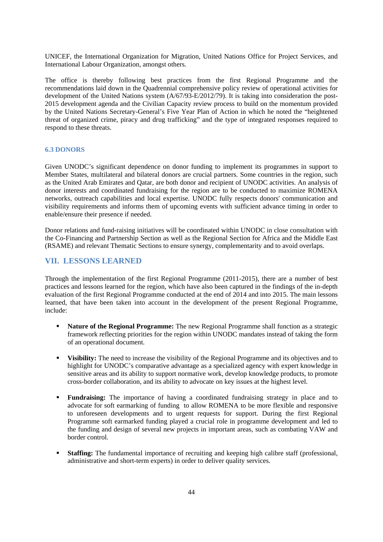UNICEF, the International Organization for Migration, United Nations Office for Project Services, and International Labour Organization, amongst others.

The office is thereby following best practices from the first Regional Programme and the recommendations laid down in the Quadrennial comprehensive policy review of operational activities for development of the United Nations system (A/67/93-E/2012/79). It is taking into consideration the post-2015 development agenda and the Civilian Capacity review process to build on the momentum provided by the United Nations Secretary-General's Five Year Plan of Action in which he noted the "heightened threat of organized crime, piracy and drug trafficking" and the type of integrated responses required to respond to these threats.

#### **6.3 DONORS**

Given UNODC's significant dependence on donor funding to implement its programmes in support to Member States, multilateral and bilateral donors are crucial partners. Some countries in the region, such as the United Arab Emirates and Qatar, are both donor and recipient of UNODC activities. An analysis of donor interests and coordinated fundraising for the region are to be conducted to maximize ROMENA networks, outreach capabilities and local expertise. UNODC fully respects donors' communication and visibility requirements and informs them of upcoming events with sufficient advance timing in order to enable/ensure their presence if needed.

Donor relations and fund-raising initiatives will be coordinated within UNODC in close consultation with the Co-Financing and Partnership Section as well as the Regional Section for Africa and the Middle East (RSAME) and relevant Thematic Sections to ensure synergy, complementarity and to avoid overlaps.

# **VII. LESSONS LEARNED**

Through the implementation of the first Regional Programme (2011-2015), there are a number of best practices and lessons learned for the region, which have also been captured in the findings of the in-depth evaluation of the first Regional Programme conducted at the end of 2014 and into 2015. The main lessons learned, that have been taken into account in the development of the present Regional Programme, include:

- **Nature of the Regional Programme:** The new Regional Programme shall function as a strategic framework reflecting priorities for the region within UNODC mandates instead of taking the form of an operational document.
- **Visibility:** The need to increase the visibility of the Regional Programme and its objectives and to highlight for UNODC's comparative advantage as a specialized agency with expert knowledge in sensitive areas and its ability to support normative work, develop knowledge products, to promote cross-border collaboration, and its ability to advocate on key issues at the highest level.
- **Fundraising:** The importance of having a coordinated fundraising strategy in place and to advocate for soft earmarking of funding to allow ROMENA to be more flexible and responsive to unforeseen developments and to urgent requests for support. During the first Regional Programme soft earmarked funding played a crucial role in programme development and led to the funding and design of several new projects in important areas, such as combating VAW and border control.
- **Staffing:** The fundamental importance of recruiting and keeping high calibre staff (professional, administrative and short-term experts) in order to deliver quality services.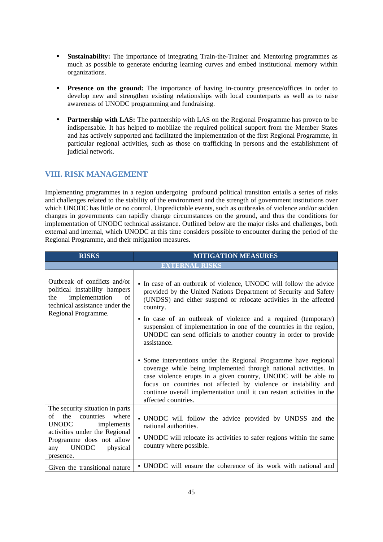- **Sustainability:** The importance of integrating Train-the-Trainer and Mentoring programmes as much as possible to generate enduring learning curves and embed institutional memory within organizations.
- **Presence on the ground:** The importance of having in-country presence/offices in order to develop new and strengthen existing relationships with local counterparts as well as to raise awareness of UNODC programming and fundraising.
- **Partnership with LAS:** The partnership with LAS on the Regional Programme has proven to be indispensable. It has helped to mobilize the required political support from the Member States and has actively supported and facilitated the implementation of the first Regional Programme, in particular regional activities, such as those on trafficking in persons and the establishment of judicial network.

# **VIII. RISK MANAGEMENT**

Implementing programmes in a region undergoing profound political transition entails a series of risks and challenges related to the stability of the environment and the strength of government institutions over which UNODC has little or no control. Unpredictable events, such as outbreaks of violence and/or sudden changes in governments can rapidly change circumstances on the ground, and thus the conditions for implementation of UNODC technical assistance. Outlined below are the major risks and challenges, both external and internal, which UNODC at this time considers possible to encounter during the period of the Regional Programme, and their mitigation measures.

| <b>RISKS</b>                                                                                                                                                                                               | <b>MITIGATION MEASURES</b>                                                                                                                                                                                                                                                                                                                                                                                                                          |
|------------------------------------------------------------------------------------------------------------------------------------------------------------------------------------------------------------|-----------------------------------------------------------------------------------------------------------------------------------------------------------------------------------------------------------------------------------------------------------------------------------------------------------------------------------------------------------------------------------------------------------------------------------------------------|
|                                                                                                                                                                                                            | <b>EXTERNAL RISKS</b>                                                                                                                                                                                                                                                                                                                                                                                                                               |
| Outbreak of conflicts and/or<br>political instability hampers<br>implementation<br>of<br>the<br>technical assistance under the<br>Regional Programme.                                                      | • In case of an outbreak of violence, UNODC will follow the advice<br>provided by the United Nations Department of Security and Safety<br>(UNDSS) and either suspend or relocate activities in the affected<br>country.<br>• In case of an outbreak of violence and a required (temporary)<br>suspension of implementation in one of the countries in the region,<br>UNODC can send officials to another country in order to provide<br>assistance. |
|                                                                                                                                                                                                            | • Some interventions under the Regional Programme have regional<br>coverage while being implemented through national activities. In<br>case violence erupts in a given country, UNODC will be able to<br>focus on countries not affected by violence or instability and<br>continue overall implementation until it can restart activities in the<br>affected countries.                                                                            |
| The security situation in parts<br>the countries<br>of<br>where<br><b>UNODC</b><br>implements<br>activities under the Regional<br>Programme does not allow<br><b>UNODC</b><br>physical<br>any<br>presence. | · UNODC will follow the advice provided by UNDSS and the<br>national authorities.<br>• UNODC will relocate its activities to safer regions within the same<br>country where possible.                                                                                                                                                                                                                                                               |
| Given the transitional nature                                                                                                                                                                              | • UNODC will ensure the coherence of its work with national and                                                                                                                                                                                                                                                                                                                                                                                     |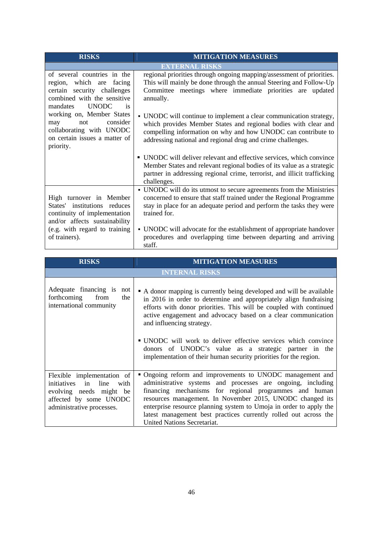| <b>RISKS</b>                                                                                                                                                               | <b>MITIGATION MEASURES</b>                                                                                                                                                                                                                                                                                                                                                            |  |  |  |
|----------------------------------------------------------------------------------------------------------------------------------------------------------------------------|---------------------------------------------------------------------------------------------------------------------------------------------------------------------------------------------------------------------------------------------------------------------------------------------------------------------------------------------------------------------------------------|--|--|--|
| <b>EXTERNAL RISKS</b>                                                                                                                                                      |                                                                                                                                                                                                                                                                                                                                                                                       |  |  |  |
| of several countries in the<br>region, which are facing<br>certain security challenges<br>combined with the sensitive<br><b>UNODC</b><br>mandates<br>is                    | regional priorities through ongoing mapping/assessment of priorities.<br>This will mainly be done through the annual Steering and Follow-Up<br>Committee meetings where immediate priorities are updated<br>annually.                                                                                                                                                                 |  |  |  |
| working on, Member States<br>consider<br>may<br>not<br>collaborating with UNODC<br>on certain issues a matter of<br>priority.                                              | • UNODC will continue to implement a clear communication strategy,<br>which provides Member States and regional bodies with clear and<br>compelling information on why and how UNODC can contribute to<br>addressing national and regional drug and crime challenges.                                                                                                                 |  |  |  |
|                                                                                                                                                                            | • UNODC will deliver relevant and effective services, which convince<br>Member States and relevant regional bodies of its value as a strategic<br>partner in addressing regional crime, terrorist, and illicit trafficking<br>challenges.                                                                                                                                             |  |  |  |
| High turnover in Member<br>States' institutions reduces<br>continuity of implementation<br>and/or affects sustainability<br>(e.g. with regard to training<br>of trainers). | • UNODC will do its utmost to secure agreements from the Ministries<br>concerned to ensure that staff trained under the Regional Programme<br>stay in place for an adequate period and perform the tasks they were<br>trained for.<br>• UNODC will advocate for the establishment of appropriate handover<br>procedures and overlapping time between departing and arriving<br>staff. |  |  |  |

| <b>RISKS</b>                                                                                                                                   | <b>MITIGATION MEASURES</b>                                                                                                                                                                                                                                                                                                                                                                                                                                                                                    |  |  |
|------------------------------------------------------------------------------------------------------------------------------------------------|---------------------------------------------------------------------------------------------------------------------------------------------------------------------------------------------------------------------------------------------------------------------------------------------------------------------------------------------------------------------------------------------------------------------------------------------------------------------------------------------------------------|--|--|
| <b>INTERNAL RISKS</b>                                                                                                                          |                                                                                                                                                                                                                                                                                                                                                                                                                                                                                                               |  |  |
| Adequate financing is not<br>forthcoming from<br>the<br>international community                                                                | • A donor mapping is currently being developed and will be available<br>in 2016 in order to determine and appropriately align fundraising<br>efforts with donor priorities. This will be coupled with continued<br>active engagement and advocacy based on a clear communication<br>and influencing strategy.<br>• UNODC will work to deliver effective services which convince<br>donors of UNODC's value as a strategic partner in the<br>implementation of their human security priorities for the region. |  |  |
| Flexible implementation of<br>initiatives in<br>line<br>with<br>evolving needs might be<br>affected by some UNODC<br>administrative processes. | • Ongoing reform and improvements to UNODC management and<br>administrative systems and processes are ongoing, including<br>financing mechanisms for regional programmes and human<br>resources management. In November 2015, UNODC changed its<br>enterprise resource planning system to Umoja in order to apply the<br>latest management best practices currently rolled out across the<br><b>United Nations Secretariat.</b>                                                                               |  |  |